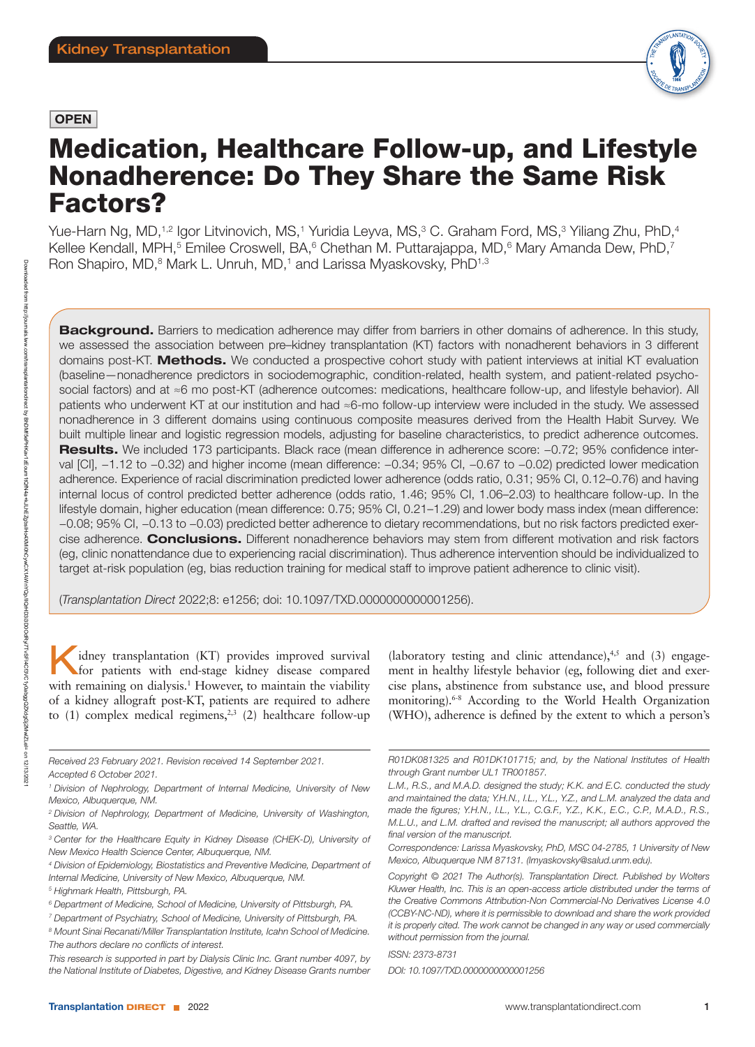# **OPEN**



# Medication, Healthcare Follow-up, and Lifestyle Nonadherence: Do They Share the Same Risk Factors?

Yue-Harn Ng, MD,<sup>1,2</sup> Igor Litvinovich, MS,<sup>1</sup> Yuridia Leyva, MS,<sup>3</sup> C. Graham Ford, MS,<sup>3</sup> Yiliang Zhu, PhD,<sup>4</sup> Kellee Kendall, MPH,<sup>5</sup> Emilee Croswell, BA,<sup>6</sup> Chethan M. Puttarajappa, MD,<sup>6</sup> Mary Amanda Dew, PhD,<sup>7</sup> Ron Shapiro, MD,<sup>8</sup> Mark L. Unruh, MD,<sup>1</sup> and Larissa Myaskovsky, PhD<sup>1,3</sup>

**Background.** Barriers to medication adherence may differ from barriers in other domains of adherence. In this study, we assessed the association between pre–kidney transplantation (KT) factors with nonadherent behaviors in 3 different domains post-KT. Methods. We conducted a prospective cohort study with patient interviews at initial KT evaluation (baseline—nonadherence predictors in sociodemographic, condition-related, health system, and patient-related psychosocial factors) and at ≈6 mo post-KT (adherence outcomes: medications, healthcare follow-up, and lifestyle behavior). All patients who underwent KT at our institution and had ≈6-mo follow-up interview were included in the study. We assessed nonadherence in 3 different domains using continuous composite measures derived from the Health Habit Survey. We built multiple linear and logistic regression models, adjusting for baseline characteristics, to predict adherence outcomes. Results. We included 173 participants. Black race (mean difference in adherence score: −0.72; 95% confidence interval [CI], −1.12 to −0.32) and higher income (mean difference: −0.34; 95% CI, −0.67 to −0.02) predicted lower medication adherence. Experience of racial discrimination predicted lower adherence (odds ratio, 0.31; 95% CI, 0.12–0.76) and having internal locus of control predicted better adherence (odds ratio, 1.46; 95% CI, 1.06–2.03) to healthcare follow-up. In the lifestyle domain, higher education (mean difference: 0.75; 95% CI, 0.21–1.29) and lower body mass index (mean difference: −0.08; 95% CI, −0.13 to −0.03) predicted better adherence to dietary recommendations, but no risk factors predicted exercise adherence. Conclusions. Different nonadherence behaviors may stem from different motivation and risk factors (eg, clinic nonattendance due to experiencing racial discrimination). Thus adherence intervention should be individualized to target at-risk population (eg, bias reduction training for medical staff to improve patient adherence to clinic visit).

(*Transplantation Direct* 2022;8: e1256; doi: 10.1097/TXD.0000000000001256).

idney transplantation (KT) provides improved survival for patients with end-stage kidney disease compared with remaining on dialysis.<sup>1</sup> However, to maintain the viability of a kidney allograft post-KT, patients are required to adhere to  $(1)$  complex medical regimens,<sup>2,3</sup>  $(2)$  healthcare follow-up

- *<sup>3</sup> Center for the Healthcare Equity in Kidney Disease (CHEK-D), University of New Mexico Health Science Center, Albuquerque, NM.*
- *<sup>4</sup> Division of Epidemiology, Biostatistics and Preventive Medicine, Department of Internal Medicine, University of New Mexico, Albuquerque, NM.*
- *<sup>5</sup> Highmark Health, Pittsburgh, PA.*

(laboratory testing and clinic attendance), $4,5$  and (3) engagement in healthy lifestyle behavior (eg, following diet and exercise plans, abstinence from substance use, and blood pressure monitoring).6-8 According to the World Health Organization (WHO), adherence is defined by the extent to which a person's

*Received 23 February 2021. Revision received 14 September 2021. Accepted 6 October 2021.*

*<sup>1</sup> Division of Nephrology, Department of Internal Medicine, University of New Mexico, Albuquerque, NM.*

*<sup>2</sup> Division of Nephrology, Department of Medicine, University of Washington, Seattle, WA.*

*<sup>6</sup> Department of Medicine, School of Medicine, University of Pittsburgh, PA.*

*<sup>7</sup> Department of Psychiatry, School of Medicine, University of Pittsburgh, PA.*

*<sup>8</sup> Mount Sinai Recanati/Miller Transplantation Institute, Icahn School of Medicine. The authors declare no conflicts of interest.*

*This research is supported in part by Dialysis Clinic Inc. Grant number 4097, by the National Institute of Diabetes, Digestive, and Kidney Disease Grants number* 

*R01DK081325 and R01DK101715; and, by the National Institutes of Health through Grant number UL1 TR001857.*

*L.M., R.S., and M.A.D. designed the study; K.K. and E.C. conducted the study and maintained the data; Y.H.N., I.L., Y.L., Y.Z., and L.M. analyzed the data and made the figures; Y.H.N., I.L., Y.L., C.G.F., Y.Z., K.K., E.C., C.P., M.A.D., R.S., M.L.U., and L.M. drafted and revised the manuscript; all authors approved the final version of the manuscript.*

*Correspondence: Larissa Myaskovsky, PhD, MSC 04-2785, 1 University of New Mexico, Albuquerque NM 87131. [\(lmyaskovsky@salud.unm.edu](mailto:lmyaskovsky@salud.unm.edu)).*

*Copyright © 2021 The Author(s). Transplantation Direct. Published by Wolters Kluwer Health, Inc. This is an open-access article distributed under the terms of the [Creative Commons Attribution-Non Commercial-No Derivatives License 4.0](http://creativecommons.org/licenses/by-nc-nd/4.0/)  [\(CCBY-NC-ND\),](http://creativecommons.org/licenses/by-nc-nd/4.0/) where it is permissible to download and share the work provided it is properly cited. The work cannot be changed in any way or used commercially without permission from the journal.*

*ISSN: 2373-8731 DOI: 10.1097/TXD.0000000000001256*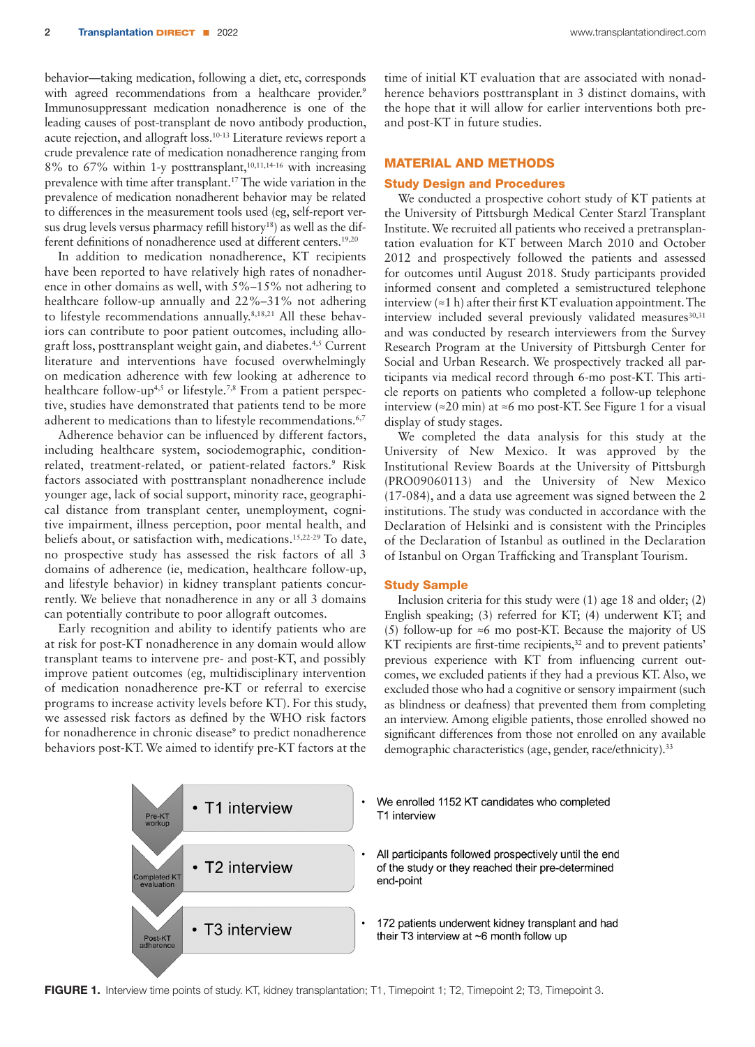behavior—taking medication, following a diet, etc, corresponds with agreed recommendations from a healthcare provider.<sup>9</sup> Immunosuppressant medication nonadherence is one of the leading causes of post-transplant de novo antibody production, acute rejection, and allograft loss.10-13 Literature reviews report a crude prevalence rate of medication nonadherence ranging from  $8\%$  to  $67\%$  within 1-y posttransplant,<sup>10,11,14-16</sup> with increasing prevalence with time after transplant.17 The wide variation in the prevalence of medication nonadherent behavior may be related to differences in the measurement tools used (eg, self-report versus drug levels versus pharmacy refill history<sup>18</sup>) as well as the different definitions of nonadherence used at different centers.<sup>19,20</sup>

In addition to medication nonadherence, KT recipients have been reported to have relatively high rates of nonadherence in other domains as well, with 5%–15% not adhering to healthcare follow-up annually and 22%–31% not adhering to lifestyle recommendations annually.8,18,21 All these behaviors can contribute to poor patient outcomes, including allograft loss, posttransplant weight gain, and diabetes.4,5 Current literature and interventions have focused overwhelmingly on medication adherence with few looking at adherence to healthcare follow-up<sup>4,5</sup> or lifestyle.<sup>7,8</sup> From a patient perspective, studies have demonstrated that patients tend to be more adherent to medications than to lifestyle recommendations.<sup>6,7</sup>

Adherence behavior can be influenced by different factors, including healthcare system, sociodemographic, conditionrelated, treatment-related, or patient-related factors.<sup>9</sup> Risk factors associated with posttransplant nonadherence include younger age, lack of social support, minority race, geographical distance from transplant center, unemployment, cognitive impairment, illness perception, poor mental health, and beliefs about, or satisfaction with, medications.15,22-29 To date, no prospective study has assessed the risk factors of all 3 domains of adherence (ie, medication, healthcare follow-up, and lifestyle behavior) in kidney transplant patients concurrently. We believe that nonadherence in any or all 3 domains can potentially contribute to poor allograft outcomes.

Early recognition and ability to identify patients who are at risk for post-KT nonadherence in any domain would allow transplant teams to intervene pre- and post-KT, and possibly improve patient outcomes (eg, multidisciplinary intervention of medication nonadherence pre-KT or referral to exercise programs to increase activity levels before KT). For this study, we assessed risk factors as defined by the WHO risk factors for nonadherence in chronic disease<sup>9</sup> to predict nonadherence behaviors post-KT. We aimed to identify pre-KT factors at the

time of initial KT evaluation that are associated with nonadherence behaviors posttransplant in 3 distinct domains, with the hope that it will allow for earlier interventions both preand post-KT in future studies.

# MATERIAL AND METHODS

#### Study Design and Procedures

We conducted a prospective cohort study of KT patients at the University of Pittsburgh Medical Center Starzl Transplant Institute. We recruited all patients who received a pretransplantation evaluation for KT between March 2010 and October 2012 and prospectively followed the patients and assessed for outcomes until August 2018. Study participants provided informed consent and completed a semistructured telephone interview  $(\approx 1 \text{ h})$  after their first KT evaluation appointment. The interview included several previously validated measures<sup>30,31</sup> and was conducted by research interviewers from the Survey Research Program at the University of Pittsburgh Center for Social and Urban Research. We prospectively tracked all participants via medical record through 6-mo post-KT. This article reports on patients who completed a follow-up telephone interview (≈20 min) at ≈6 mo post-KT. See Figure 1 for a visual display of study stages.

We completed the data analysis for this study at the University of New Mexico. It was approved by the Institutional Review Boards at the University of Pittsburgh (PRO09060113) and the University of New Mexico (17-084), and a data use agreement was signed between the 2 institutions. The study was conducted in accordance with the Declaration of Helsinki and is consistent with the Principles of the Declaration of Istanbul as outlined in the Declaration of Istanbul on Organ Trafficking and Transplant Tourism.

### Study Sample

Inclusion criteria for this study were (1) age 18 and older; (2) English speaking; (3) referred for KT; (4) underwent KT; and (5) follow-up for ≈6 mo post-KT. Because the majority of US KT recipients are first-time recipients,<sup>32</sup> and to prevent patients' previous experience with KT from influencing current outcomes, we excluded patients if they had a previous KT. Also, we excluded those who had a cognitive or sensory impairment (such as blindness or deafness) that prevented them from completing an interview. Among eligible patients, those enrolled showed no significant differences from those not enrolled on any available demographic characteristics (age, gender, race/ethnicity).<sup>33</sup>



FIGURE 1. Interview time points of study. KT, kidney transplantation; T1, Timepoint 1; T2, Timepoint 2; T3, Timepoint 3.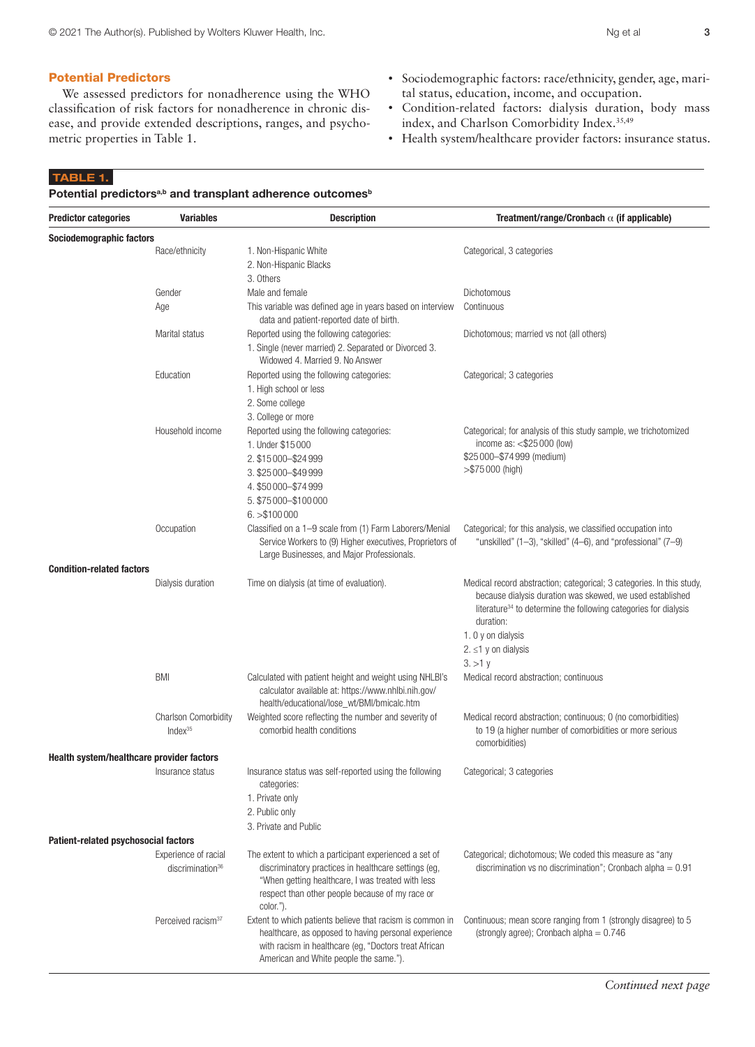#### Potential Predictors

We assessed predictors for nonadherence using the WHO classification of risk factors for nonadherence in chronic disease, and provide extended descriptions, ranges, and psychometric properties in Table 1.

- Sociodemographic factors: race/ethnicity, gender, age, marital status, education, income, and occupation.
- Condition-related factors: dialysis duration, body mass index, and Charlson Comorbidity Index.<sup>35,49</sup>
- Health system/healthcare provider factors: insurance status.

#### TABLE 1.

Potential predictors<sup>a,b</sup> and transplant adherence outcomes<sup>b</sup>

| <b>Predictor categories</b>               | <b>Variables</b>                                     | <b>Description</b>                                                                                                                                                                                                                  | Treatment/range/Cronbach $\alpha$ (if applicable)                                                                                                                                                                                                                                      |
|-------------------------------------------|------------------------------------------------------|-------------------------------------------------------------------------------------------------------------------------------------------------------------------------------------------------------------------------------------|----------------------------------------------------------------------------------------------------------------------------------------------------------------------------------------------------------------------------------------------------------------------------------------|
| Sociodemographic factors                  |                                                      |                                                                                                                                                                                                                                     |                                                                                                                                                                                                                                                                                        |
|                                           | Race/ethnicity                                       | 1. Non-Hispanic White<br>2. Non-Hispanic Blacks<br>3. Others                                                                                                                                                                        | Categorical, 3 categories                                                                                                                                                                                                                                                              |
|                                           | Gender                                               | Male and female                                                                                                                                                                                                                     | Dichotomous                                                                                                                                                                                                                                                                            |
|                                           | Age                                                  | This variable was defined age in years based on interview<br>data and patient-reported date of birth.                                                                                                                               | Continuous                                                                                                                                                                                                                                                                             |
|                                           | Marital status                                       | Reported using the following categories:<br>1. Single (never married) 2. Separated or Divorced 3.<br>Widowed 4. Married 9. No Answer                                                                                                | Dichotomous; married vs not (all others)                                                                                                                                                                                                                                               |
|                                           | Education                                            | Reported using the following categories:<br>1. High school or less<br>2. Some college<br>3. College or more                                                                                                                         | Categorical; 3 categories                                                                                                                                                                                                                                                              |
|                                           | Household income                                     | Reported using the following categories:<br>1. Under \$15 000<br>2. \$15 000 - \$24 999<br>3. \$25 000 - \$49 999<br>4. \$50 000-\$74 999<br>5. \$75 000 - \$100 000<br>6. > \$100000                                               | Categorical; for analysis of this study sample, we trichotomized<br>income as: <\$25 000 (low)<br>\$25 000-\$74 999 (medium)<br>$> $75000$ (high)                                                                                                                                      |
|                                           | Occupation                                           | Classified on a 1-9 scale from (1) Farm Laborers/Menial<br>Service Workers to (9) Higher executives, Proprietors of<br>Large Businesses, and Major Professionals.                                                                   | Categorical; for this analysis, we classified occupation into<br>"unskilled" $(1-3)$ , "skilled" $(4-6)$ , and "professional" $(7-9)$                                                                                                                                                  |
| <b>Condition-related factors</b>          |                                                      |                                                                                                                                                                                                                                     |                                                                                                                                                                                                                                                                                        |
|                                           | Dialysis duration                                    | Time on dialysis (at time of evaluation).                                                                                                                                                                                           | Medical record abstraction; categorical; 3 categories. In this study,<br>because dialysis duration was skewed, we used established<br>literature <sup>34</sup> to determine the following categories for dialysis<br>duration:<br>1. 0 y on dialysis<br>2. ≤1 y on dialysis<br>3. > 1y |
|                                           | <b>BMI</b>                                           | Calculated with patient height and weight using NHLBI's<br>calculator available at: https://www.nhlbi.nih.gov/<br>health/educational/lose_wt/BMI/bmicalc.htm                                                                        | Medical record abstraction; continuous                                                                                                                                                                                                                                                 |
|                                           | <b>Charlson Comorbidity</b><br>$Index^{35}$          | Weighted score reflecting the number and severity of<br>comorbid health conditions                                                                                                                                                  | Medical record abstraction; continuous; 0 (no comorbidities)<br>to 19 (a higher number of comorbidities or more serious<br>comorbidities)                                                                                                                                              |
| Health system/healthcare provider factors |                                                      |                                                                                                                                                                                                                                     |                                                                                                                                                                                                                                                                                        |
|                                           | Insurance status                                     | Insurance status was self-reported using the following<br>categories:<br>1. Private only                                                                                                                                            | Categorical; 3 categories                                                                                                                                                                                                                                                              |
|                                           |                                                      | 2. Public only                                                                                                                                                                                                                      |                                                                                                                                                                                                                                                                                        |
|                                           |                                                      | 3. Private and Public                                                                                                                                                                                                               |                                                                                                                                                                                                                                                                                        |
| Patient-related psychosocial factors      |                                                      |                                                                                                                                                                                                                                     |                                                                                                                                                                                                                                                                                        |
|                                           | Experience of racial<br>discrimination <sup>36</sup> | The extent to which a participant experienced a set of<br>discriminatory practices in healthcare settings (eg,<br>"When getting healthcare, I was treated with less<br>respect than other people because of my race or<br>color."). | Categorical; dichotomous; We coded this measure as "any<br>discrimination vs no discrimination"; Cronbach alpha = $0.91$                                                                                                                                                               |
|                                           | Perceived racism <sup>37</sup>                       | Extent to which patients believe that racism is common in<br>healthcare, as opposed to having personal experience<br>with racism in healthcare (eg, "Doctors treat African<br>American and White people the same.").                | Continuous; mean score ranging from 1 (strongly disagree) to 5<br>(strongly agree); Cronbach alpha = $0.746$                                                                                                                                                                           |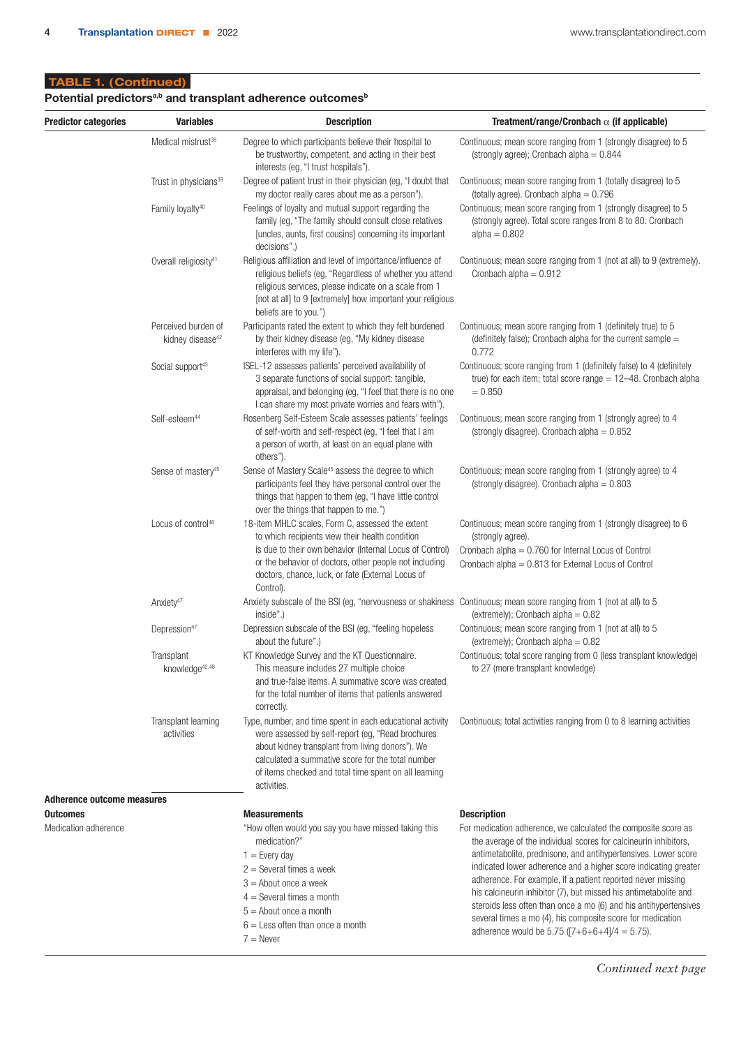# TABLE 1. ( Continued)

# Potential predictors<sup>a,b</sup> and transplant adherence outcomes<sup>b</sup>

| <b>Predictor categories</b><br><b>Variables</b> |                                                     | <b>Description</b>                                                                                                                                                                                                                                                                          | Treatment/range/Cronbach $\alpha$ (if applicable)                                                                                                                                                                                                                                                                                                                                                                                                                                                                                                                                                                       |  |  |
|-------------------------------------------------|-----------------------------------------------------|---------------------------------------------------------------------------------------------------------------------------------------------------------------------------------------------------------------------------------------------------------------------------------------------|-------------------------------------------------------------------------------------------------------------------------------------------------------------------------------------------------------------------------------------------------------------------------------------------------------------------------------------------------------------------------------------------------------------------------------------------------------------------------------------------------------------------------------------------------------------------------------------------------------------------------|--|--|
| Medical mistrust <sup>38</sup>                  |                                                     | Degree to which participants believe their hospital to<br>be trustworthy, competent, and acting in their best<br>interests (eg, "I trust hospitals").                                                                                                                                       | Continuous; mean score ranging from 1 (strongly disagree) to 5<br>(strongly agree); Cronbach alpha = $0.844$                                                                                                                                                                                                                                                                                                                                                                                                                                                                                                            |  |  |
|                                                 | Trust in physicians <sup>39</sup>                   | Degree of patient trust in their physician (eg, "I doubt that<br>my doctor really cares about me as a person").                                                                                                                                                                             | Continuous; mean score ranging from 1 (totally disagree) to 5<br>(totally agree). Cronbach alpha $= 0.796$                                                                                                                                                                                                                                                                                                                                                                                                                                                                                                              |  |  |
|                                                 | Family loyalty <sup>40</sup>                        | Feelings of loyalty and mutual support regarding the<br>family (eg, "The family should consult close relatives<br>[uncles, aunts, first cousins] concerning its important<br>decisions".)                                                                                                   | Continuous; mean score ranging from 1 (strongly disagree) to 5<br>(strongly agree). Total score ranges from 8 to 80. Cronbach<br>$alpha = 0.802$                                                                                                                                                                                                                                                                                                                                                                                                                                                                        |  |  |
|                                                 | Overall religiosity <sup>41</sup>                   | Religious affiliation and level of importance/influence of<br>religious beliefs (eg, "Regardless of whether you attend<br>religious services, please indicate on a scale from 1<br>[not at all] to 9 [extremely] how important your religious<br>beliefs are to you.")                      | Continuous; mean score ranging from 1 (not at all) to 9 (extremely).<br>Cronbach alpha = $0.912$                                                                                                                                                                                                                                                                                                                                                                                                                                                                                                                        |  |  |
|                                                 | Perceived burden of<br>kidney disease <sup>42</sup> | Participants rated the extent to which they felt burdened<br>by their kidney disease (eg, "My kidney disease<br>interferes with my life").                                                                                                                                                  | Continuous; mean score ranging from 1 (definitely true) to 5<br>(definitely false); Cronbach alpha for the current sample $=$<br>0.772                                                                                                                                                                                                                                                                                                                                                                                                                                                                                  |  |  |
|                                                 | Social support <sup>43</sup>                        | ISEL-12 assesses patients' perceived availability of<br>3 separate functions of social support: tangible,<br>appraisal, and belonging (eg, "I feel that there is no one<br>I can share my most private worries and fears with").                                                            | Continuous; score ranging from 1 (definitely false) to 4 (definitely<br>true) for each item; total score range $= 12 - 48$ . Cronbach alpha<br>$= 0.850$                                                                                                                                                                                                                                                                                                                                                                                                                                                                |  |  |
|                                                 | Self-esteem <sup>44</sup>                           | Rosenberg Self-Esteem Scale assesses patients' feelings<br>of self-worth and self-respect (eg, "I feel that I am<br>a person of worth, at least on an equal plane with<br>others").                                                                                                         | Continuous; mean score ranging from 1 (strongly agree) to 4<br>(strongly disagree). Cronbach alpha = $0.852$                                                                                                                                                                                                                                                                                                                                                                                                                                                                                                            |  |  |
|                                                 | Sense of mastery <sup>45</sup>                      | Sense of Mastery Scale <sup>45</sup> assess the degree to which<br>participants feel they have personal control over the<br>things that happen to them (eg, "I have little control<br>over the things that happen to me.")                                                                  | Continuous; mean score ranging from 1 (strongly agree) to 4<br>(strongly disagree). Cronbach alpha $= 0.803$                                                                                                                                                                                                                                                                                                                                                                                                                                                                                                            |  |  |
|                                                 | Locus of control <sup>46</sup>                      | 18-item MHLC scales, Form C, assessed the extent<br>to which recipients view their health condition<br>is due to their own behavior (Internal Locus of Control)<br>or the behavior of doctors, other people not including<br>doctors, chance, luck, or fate (External Locus of<br>Control). | Continuous; mean score ranging from 1 (strongly disagree) to 6<br>(strongly agree).<br>Cronbach alpha $= 0.760$ for Internal Locus of Control<br>Cronbach alpha = 0.813 for External Locus of Control                                                                                                                                                                                                                                                                                                                                                                                                                   |  |  |
|                                                 | Anxiety <sup>47</sup>                               | Anxiety subscale of the BSI (eg, "nervousness or shakiness Continuous; mean score ranging from 1 (not at all) to 5<br>inside".)                                                                                                                                                             | (extremely); Cronbach alpha = $0.82$                                                                                                                                                                                                                                                                                                                                                                                                                                                                                                                                                                                    |  |  |
|                                                 | Depression <sup>47</sup>                            | Depression subscale of the BSI (eg, "feeling hopeless<br>about the future".)                                                                                                                                                                                                                | Continuous; mean score ranging from 1 (not at all) to 5<br>(extremely); Cronbach alpha = $0.82$                                                                                                                                                                                                                                                                                                                                                                                                                                                                                                                         |  |  |
|                                                 | Transplant<br>knowledge <sup>42,48</sup>            | KT Knowledge Survey and the KT Questionnaire.<br>This measure includes 27 multiple choice<br>and true-false items. A summative score was created<br>for the total number of items that patients answered<br>correctly.                                                                      | Continuous; total score ranging from 0 (less transplant knowledge)<br>to 27 (more transplant knowledge)                                                                                                                                                                                                                                                                                                                                                                                                                                                                                                                 |  |  |
|                                                 | Transplant learning<br>activities                   | were assessed by self-report (eq. "Read brochures<br>about kidney transplant from living donors"). We<br>calculated a summative score for the total number<br>of items checked and total time spent on all learning<br>activities.                                                          | Type, number, and time spent in each educational activity Continuous; total activities ranging from 0 to 8 learning activities                                                                                                                                                                                                                                                                                                                                                                                                                                                                                          |  |  |
| <b>Adherence outcome measures</b>               |                                                     |                                                                                                                                                                                                                                                                                             |                                                                                                                                                                                                                                                                                                                                                                                                                                                                                                                                                                                                                         |  |  |
| Outcomes<br>Medication adherence                |                                                     | <b>Measurements</b><br>"How often would you say you have missed taking this<br>medication?"<br>$1 =$ Every day<br>$2 =$ Several times a week<br>$3 =$ About once a week<br>$4 =$ Several times a month<br>$5 =$ About once a month<br>$6 =$ Less often than once a month                    | <b>Description</b><br>For medication adherence, we calculated the composite score as<br>the average of the individual scores for calcineurin inhibitors,<br>antimetabolite, prednisone, and antihypertensives. Lower score<br>indicated lower adherence and a higher score indicating greater<br>adherence. For example, if a patient reported never missing<br>his calcineurin inhibitor (7), but missed his antimetabolite and<br>steroids less often than once a mo (6) and his antihypertensives<br>several times a mo (4), his composite score for medication<br>adherence would be 5.75 ( $[7+6+6+4]/4 = 5.75$ ). |  |  |
|                                                 |                                                     | $7 =$ Never                                                                                                                                                                                                                                                                                 |                                                                                                                                                                                                                                                                                                                                                                                                                                                                                                                                                                                                                         |  |  |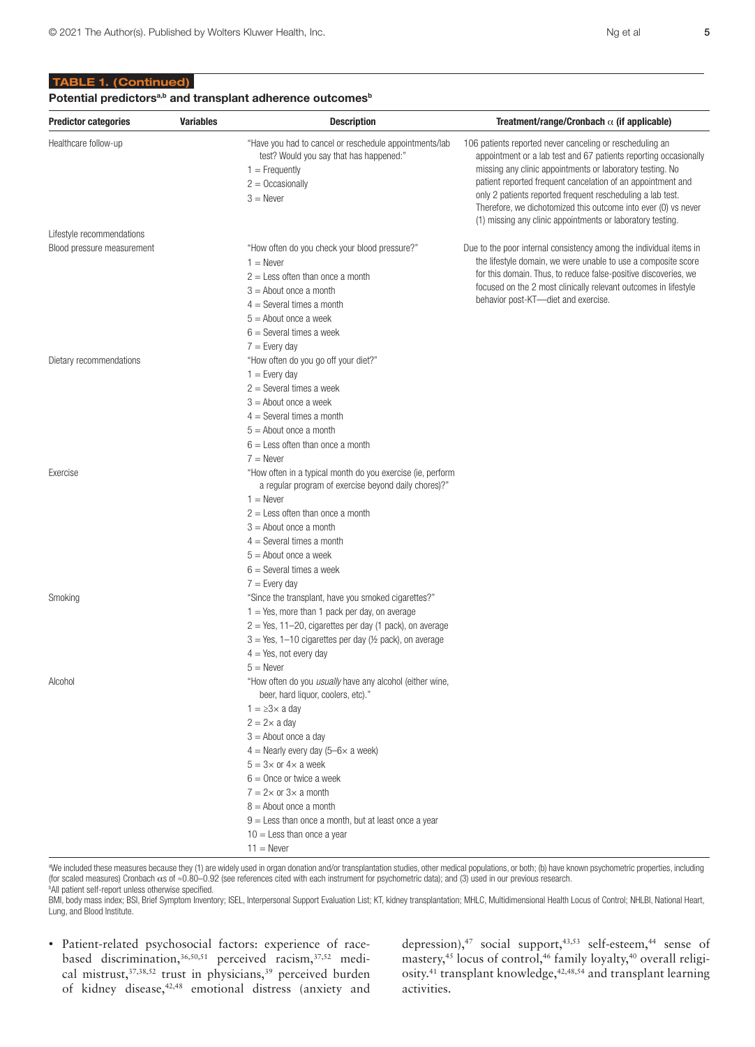#### TABLE 1. (Continued)

Dietary recommendations Theorem is the "How often do you go off your diet?"

 $1 =$  Never

 $1 =$  Every day 2 = Several times a week  $3 =$  About once a week

 $2 =$  Less often than once a month  $3 =$  About once a month  $4 =$  Several times a month 5 = About once a week  $6 =$  Several times a week  $7$  = Every day

| <b>Predictor categories</b> | <b>Variables</b> | <b>Description</b>                                                                                                                                       | Treatment/range/Cronbach $\alpha$ (if applicable)                                                                                                                                                                                                                                                                                                                                                                                                    |
|-----------------------------|------------------|----------------------------------------------------------------------------------------------------------------------------------------------------------|------------------------------------------------------------------------------------------------------------------------------------------------------------------------------------------------------------------------------------------------------------------------------------------------------------------------------------------------------------------------------------------------------------------------------------------------------|
| Healthcare follow-up        |                  | "Have you had to cancel or reschedule appointments/lab<br>test? Would you say that has happened:"<br>$=$ Frequently<br>$2 = Occasionally$<br>$3 =$ Never | 106 patients reported never canceling or rescheduling an<br>appointment or a lab test and 67 patients reporting occasional<br>missing any clinic appointments or laboratory testing. No<br>patient reported frequent cancelation of an appointment and<br>only 2 patients reported frequent rescheduling a lab test.<br>Therefore, we dichotomized this outcome into ever (0) vs never<br>(1) missing any clinic appointments or laboratory testing. |
| Lifestyle recommendations   |                  |                                                                                                                                                          |                                                                                                                                                                                                                                                                                                                                                                                                                                                      |
| Blood pressure measurement  |                  | "How often do you check your blood pressure?"<br>et Marcour                                                                                              | Due to the poor internal consistency among the individual items in<br>the lifestyle demoin we were unable to use a composite seere                                                                                                                                                                                                                                                                                                                   |

| Due to the poor internal consistency among the individual items in |
|--------------------------------------------------------------------|
| the lifestyle domain, we were unable to use a composite score      |
| for this domain. Thus, to reduce false-positive discoveries, we    |
| focused on the 2 most clinically relevant outcomes in lifestyle    |
| behavior post-KT-diet and exercise.                                |
|                                                                    |

|          | $4 =$ Several times a month                                                                                        |
|----------|--------------------------------------------------------------------------------------------------------------------|
|          | $5 =$ About once a month                                                                                           |
|          | $6 =$ Less often than once a month                                                                                 |
|          | $7 =$ Never                                                                                                        |
| Exercise | "How often in a typical month do you exercise (ie, perform<br>a regular program of exercise beyond daily chores)?" |
|          | $1 =$ Never                                                                                                        |
|          | $2 =$ Less often than once a month                                                                                 |
|          | $3 =$ About once a month                                                                                           |
|          | $4 =$ Several times a month                                                                                        |
|          | $5 =$ About once a week                                                                                            |
|          | $6 =$ Several times a week                                                                                         |
|          | $7 =$ Every day                                                                                                    |
| Smoking  | "Since the transplant, have you smoked cigarettes?"                                                                |
|          | $1 = Yes$ , more than 1 pack per day, on average                                                                   |
|          | $2 = Yes$ , 11–20, cigarettes per day (1 pack), on average                                                         |
|          | $3 = Yes$ , 1-10 cigarettes per day ( $\frac{1}{2}$ pack), on average                                              |
|          | $4 = Yes$ , not every day                                                                                          |
|          | $5 =$ Never                                                                                                        |
| Alcohol  | "How often do you usually have any alcohol (either wine,<br>beer, hard liquor, coolers, etc)."                     |
|          | $1 = \geq 3 \times a$ day                                                                                          |
|          | $2 = 2 \times a$ day                                                                                               |
|          | $3 =$ About once a day                                                                                             |
|          | $4$ = Nearly every day (5–6 $\times$ a week)                                                                       |
|          | $5 = 3 \times$ or $4 \times a$ week                                                                                |
|          | $6 =$ Once or twice a week                                                                                         |
|          | $7 = 2 \times$ or $3 \times$ a month                                                                               |
|          | $8 =$ About once a month                                                                                           |
|          | $9 =$ Less than once a month, but at least once a year                                                             |
|          | $10 =$ Less than once a year                                                                                       |
|          | $11 =$ Never                                                                                                       |

a We included these measures because they (1) are widely used in organ donation and/or transplantation studies, other medical populations, or both; (b) have known psychometric properties, including (for scaled measures) Cronbach αs of ≈0.80–0.92 (see references cited with each instrument for psychometric data); and (3) used in our previous research. <sup>b</sup>All patient self-report unless otherwise specified.

BMI, body mass index; BSI, Brief Symptom Inventory; ISEL, Interpersonal Support Evaluation List; KT, kidney transplantation; MHLC, Multidimensional Health Locus of Control; NHLBI, National Heart, Lung, and Blood Institute.

• Patient-related psychosocial factors: experience of racebased discrimination,36,50,51 perceived racism,37,52 medical mistrust, 37,38,52 trust in physicians, <sup>39</sup> perceived burden of kidney disease,<sup>42,48</sup> emotional distress (anxiety and

depression),<sup>47</sup> social support,<sup>43,53</sup> self-esteem,<sup>44</sup> sense of mastery,45 locus of control,46 family loyalty,40 overall religiosity.41 transplant knowledge,42,48,54 and transplant learning activities.

occasionally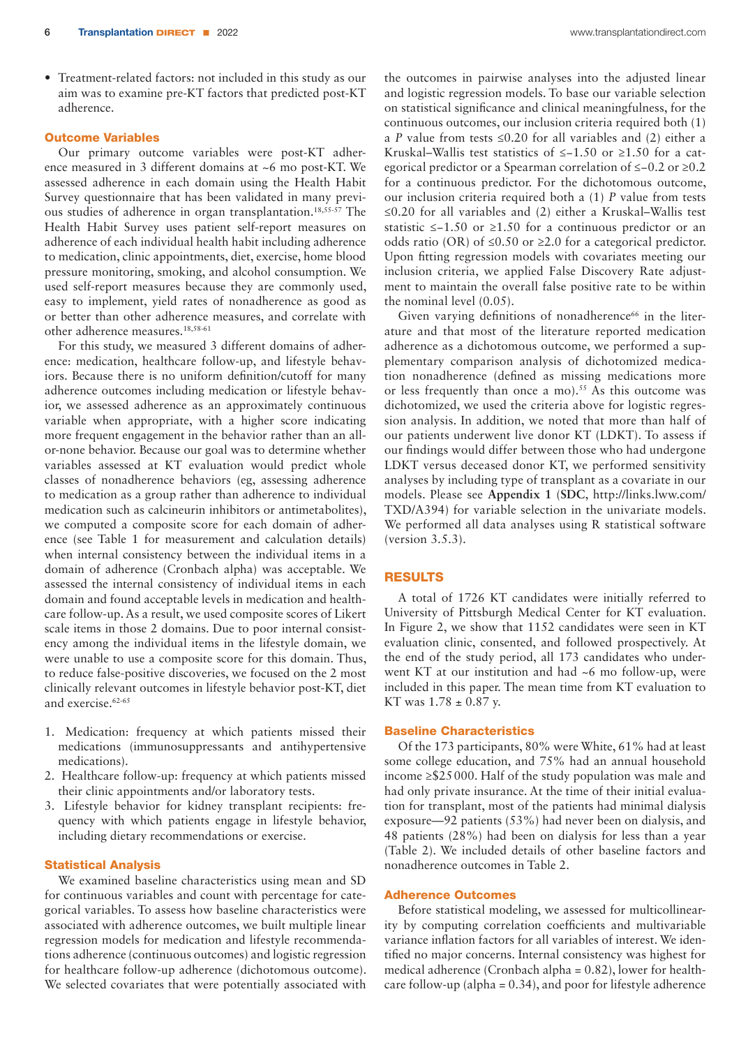• Treatment-related factors: not included in this study as our aim was to examine pre-KT factors that predicted post-KT adherence.

#### Outcome Variables

Our primary outcome variables were post-KT adherence measured in 3 different domains at ~6 mo post-KT. We assessed adherence in each domain using the Health Habit Survey questionnaire that has been validated in many previous studies of adherence in organ transplantation.18,55-57 The Health Habit Survey uses patient self-report measures on adherence of each individual health habit including adherence to medication, clinic appointments, diet, exercise, home blood pressure monitoring, smoking, and alcohol consumption. We used self-report measures because they are commonly used, easy to implement, yield rates of nonadherence as good as or better than other adherence measures, and correlate with other adherence measures.18,58-61

For this study, we measured 3 different domains of adherence: medication, healthcare follow-up, and lifestyle behaviors. Because there is no uniform definition/cutoff for many adherence outcomes including medication or lifestyle behavior, we assessed adherence as an approximately continuous variable when appropriate, with a higher score indicating more frequent engagement in the behavior rather than an allor-none behavior. Because our goal was to determine whether variables assessed at KT evaluation would predict whole classes of nonadherence behaviors (eg, assessing adherence to medication as a group rather than adherence to individual medication such as calcineurin inhibitors or antimetabolites), we computed a composite score for each domain of adherence (see Table 1 for measurement and calculation details) when internal consistency between the individual items in a domain of adherence (Cronbach alpha) was acceptable. We assessed the internal consistency of individual items in each domain and found acceptable levels in medication and healthcare follow-up. As a result, we used composite scores of Likert scale items in those 2 domains. Due to poor internal consistency among the individual items in the lifestyle domain, we were unable to use a composite score for this domain. Thus, to reduce false-positive discoveries, we focused on the 2 most clinically relevant outcomes in lifestyle behavior post-KT, diet and exercise.<sup>62-65</sup>

- 1. Medication: frequency at which patients missed their medications (immunosuppressants and antihypertensive medications).
- 2. Healthcare follow-up: frequency at which patients missed their clinic appointments and/or laboratory tests.
- 3. Lifestyle behavior for kidney transplant recipients: frequency with which patients engage in lifestyle behavior, including dietary recommendations or exercise.

#### Statistical Analysis

We examined baseline characteristics using mean and SD for continuous variables and count with percentage for categorical variables. To assess how baseline characteristics were associated with adherence outcomes, we built multiple linear regression models for medication and lifestyle recommendations adherence (continuous outcomes) and logistic regression for healthcare follow-up adherence (dichotomous outcome). We selected covariates that were potentially associated with the outcomes in pairwise analyses into the adjusted linear and logistic regression models. To base our variable selection on statistical significance and clinical meaningfulness, for the continuous outcomes, our inclusion criteria required both (1) a *P* value from tests  $\leq 0.20$  for all variables and (2) either a Kruskal–Wallis test statistics of ≤−1.50 or ≥1.50 for a categorical predictor or a Spearman correlation of ≤−0.2 or ≥0.2 for a continuous predictor. For the dichotomous outcome, our inclusion criteria required both a (1) *P* value from tests ≤0.20 for all variables and (2) either a Kruskal–Wallis test statistic ≤−1.50 or ≥1.50 for a continuous predictor or an odds ratio (OR) of ≤0.50 or ≥2.0 for a categorical predictor. Upon fitting regression models with covariates meeting our inclusion criteria, we applied False Discovery Rate adjustment to maintain the overall false positive rate to be within the nominal level (0.05).

Given varying definitions of nonadherence<sup>66</sup> in the literature and that most of the literature reported medication adherence as a dichotomous outcome, we performed a supplementary comparison analysis of dichotomized medication nonadherence (defined as missing medications more or less frequently than once a mo).<sup>55</sup> As this outcome was dichotomized, we used the criteria above for logistic regression analysis. In addition, we noted that more than half of our patients underwent live donor KT (LDKT). To assess if our findings would differ between those who had undergone LDKT versus deceased donor KT, we performed sensitivity analyses by including type of transplant as a covariate in our models. Please see **Appendix 1** (**SDC**, http://links.lww.com/ TXD/A394) for variable selection in the univariate models. We performed all data analyses using R statistical software (version 3.5.3).

#### RESULTS

A total of 1726 KT candidates were initially referred to University of Pittsburgh Medical Center for KT evaluation. In Figure 2, we show that 1152 candidates were seen in KT evaluation clinic, consented, and followed prospectively. At the end of the study period, all 173 candidates who underwent KT at our institution and had ~6 mo follow-up, were included in this paper. The mean time from KT evaluation to KT was  $1.78 \pm 0.87$  y.

#### Baseline Characteristics

Of the 173 participants, 80% were White, 61% had at least some college education, and 75% had an annual household income ≥\$25000. Half of the study population was male and had only private insurance. At the time of their initial evaluation for transplant, most of the patients had minimal dialysis exposure—92 patients (53%) had never been on dialysis, and 48 patients (28%) had been on dialysis for less than a year (Table 2). We included details of other baseline factors and nonadherence outcomes in Table 2.

#### Adherence Outcomes

Before statistical modeling, we assessed for multicollinearity by computing correlation coefficients and multivariable variance inflation factors for all variables of interest. We identified no major concerns. Internal consistency was highest for medical adherence (Cronbach alpha = 0.82), lower for healthcare follow-up (alpha = 0.34), and poor for lifestyle adherence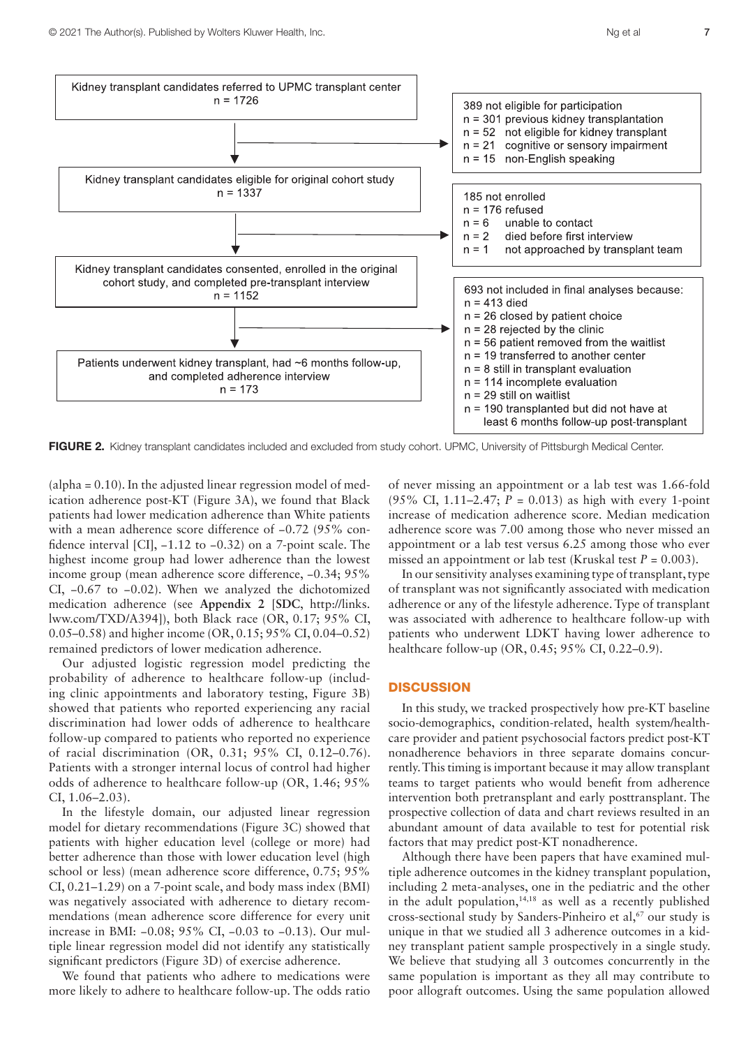

FIGURE 2. Kidney transplant candidates included and excluded from study cohort. UPMC, University of Pittsburgh Medical Center.

(alpha = 0.10). In the adjusted linear regression model of medication adherence post-KT (Figure 3A), we found that Black patients had lower medication adherence than White patients with a mean adherence score difference of -0.72 (95% confidence interval [CI], −1.12 to −0.32) on a 7-point scale. The highest income group had lower adherence than the lowest income group (mean adherence score difference, −0.34; 95% CI, −0.67 to −0.02). When we analyzed the dichotomized medication adherence (see **Appendix 2** [**SDC**, [http://links.](http://links.lww.com/TXD/A394) [lww.com/TXD/A394](http://links.lww.com/TXD/A394)]), both Black race (OR, 0.17; 95% CI, 0.05–0.58) and higher income (OR, 0.15; 95% CI, 0.04–0.52) remained predictors of lower medication adherence.

Our adjusted logistic regression model predicting the probability of adherence to healthcare follow-up (including clinic appointments and laboratory testing, Figure 3B) showed that patients who reported experiencing any racial discrimination had lower odds of adherence to healthcare follow-up compared to patients who reported no experience of racial discrimination (OR, 0.31; 95% CI, 0.12–0.76). Patients with a stronger internal locus of control had higher odds of adherence to healthcare follow-up (OR, 1.46; 95% CI, 1.06–2.03).

In the lifestyle domain, our adjusted linear regression model for dietary recommendations (Figure 3C) showed that patients with higher education level (college or more) had better adherence than those with lower education level (high school or less) (mean adherence score difference, 0.75; 95% CI, 0.21–1.29) on a 7-point scale, and body mass index (BMI) was negatively associated with adherence to dietary recommendations (mean adherence score difference for every unit increase in BMI: −0.08; 95% CI, −0.03 to −0.13). Our multiple linear regression model did not identify any statistically significant predictors (Figure 3D) of exercise adherence.

We found that patients who adhere to medications were more likely to adhere to healthcare follow-up. The odds ratio of never missing an appointment or a lab test was 1.66-fold (95% CI, 1.11–2.47;  $P = 0.013$ ) as high with every 1-point increase of medication adherence score. Median medication adherence score was 7.00 among those who never missed an appointment or a lab test versus 6.25 among those who ever missed an appointment or lab test (Kruskal test  $P = 0.003$ ).

In our sensitivity analyses examining type of transplant, type of transplant was not significantly associated with medication adherence or any of the lifestyle adherence. Type of transplant was associated with adherence to healthcare follow-up with patients who underwent LDKT having lower adherence to healthcare follow-up (OR, 0.45; 95% CI, 0.22–0.9).

#### **DISCUSSION**

In this study, we tracked prospectively how pre-KT baseline socio-demographics, condition-related, health system/healthcare provider and patient psychosocial factors predict post-KT nonadherence behaviors in three separate domains concurrently. This timing is important because it may allow transplant teams to target patients who would benefit from adherence intervention both pretransplant and early posttransplant. The prospective collection of data and chart reviews resulted in an abundant amount of data available to test for potential risk factors that may predict post-KT nonadherence.

Although there have been papers that have examined multiple adherence outcomes in the kidney transplant population, including 2 meta-analyses, one in the pediatric and the other in the adult population, $14,18$  as well as a recently published cross-sectional study by Sanders-Pinheiro et al,<sup>67</sup> our study is unique in that we studied all 3 adherence outcomes in a kidney transplant patient sample prospectively in a single study. We believe that studying all 3 outcomes concurrently in the same population is important as they all may contribute to poor allograft outcomes. Using the same population allowed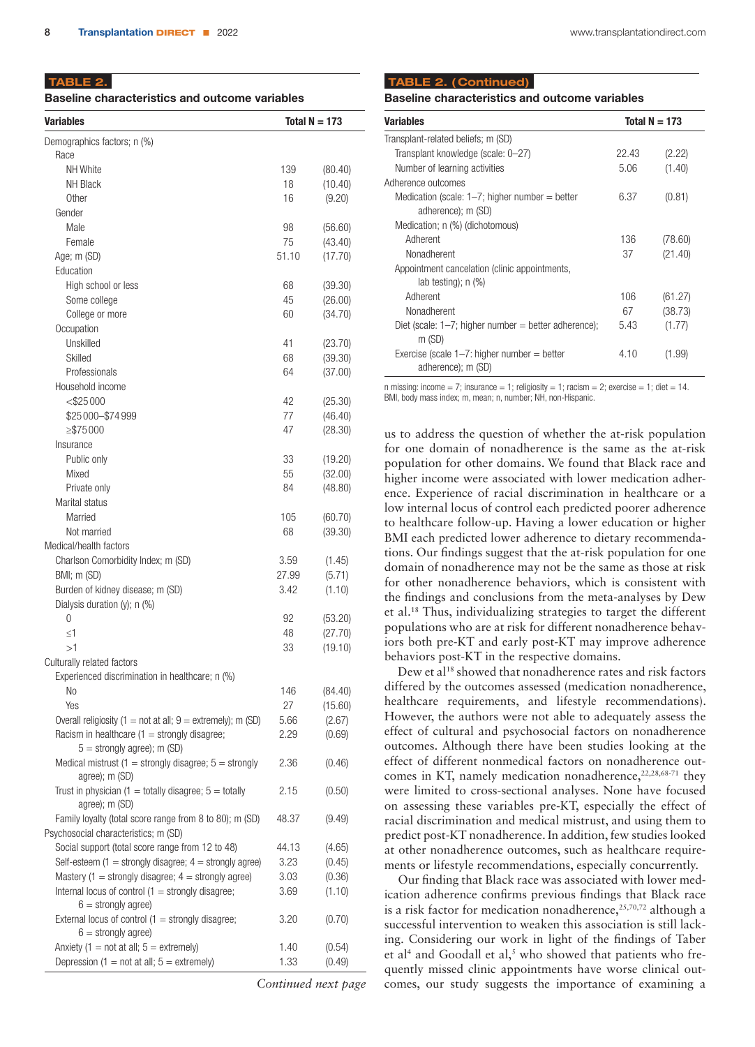TABLE 2.

| <b>Baseline characteristics and outcome variables</b> |  |
|-------------------------------------------------------|--|
|                                                       |  |

| Demographics factors; n (%)<br>Race<br>NH White<br>139<br>(80.40)<br><b>NH Black</b><br>18<br>(10.40)<br>Other<br>16<br>(9.20)<br>Gender<br>Male<br>98<br>(56.60)<br>Female<br>75<br>(43.40)<br>51.10<br>(17.70)<br>Age; m (SD)<br>Education<br>High school or less<br>68<br>(39.30)<br>Some college<br>45<br>(26.00)<br>College or more<br>60<br>(34.70)<br>Occupation<br>Unskilled<br>41<br>(23.70)<br>Skilled<br>(39.30)<br>68<br>Professionals<br>(37.00)<br>64<br>Household income<br>$<$ \$25000<br>42<br>(25.30)<br>\$25000-\$74999<br>77<br>(46.40)<br>$\geq$ \$75000<br>47<br>(28.30)<br>Insurance<br>Public only<br>33<br>(19.20)<br>Mixed<br>55<br>(32.00)<br>Private only<br>84<br>(48.80)<br>Marital status<br>Married<br>105<br>(60.70)<br>Not married<br>68<br>(39.30)<br>Medical/health factors<br>Charlson Comorbidity Index; m (SD)<br>3.59<br>(1.45)<br>BMI; m (SD)<br>27.99<br>(5.71)<br>Burden of kidney disease; m (SD)<br>3.42<br>(1.10)<br>Dialysis duration $(y)$ ; n $(\%)$<br>0<br>92<br>(53.20)<br>(27.70)<br>≤1<br>48<br>>1<br>33<br>(19.10)<br>Culturally related factors<br>Experienced discrimination in healthcare; n (%)<br>N <sub>o</sub><br>146<br>(84.40)<br>Yes<br>27<br>(15.60)<br>Overall religiosity (1 = not at all; $9 =$ extremely); m (SD)<br>5.66<br>(2.67)<br>Racism in healthcare $(1 =$ strongly disagree;<br>2.29<br>(0.69)<br>$5 =$ strongly agree); m (SD)<br>Medical mistrust (1 = strongly disagree; $5 =$ strongly<br>2.36<br>(0.46)<br>agree); m (SD)<br>Trust in physician (1 = totally disagree; $5 =$ totally<br>2.15<br>(0.50)<br>agree); m (SD)<br>Family loyalty (total score range from 8 to 80); m (SD)<br>48.37<br>(9.49)<br>Psychosocial characteristics; m (SD)<br>Social support (total score range from 12 to 48)<br>44.13<br>(4.65)<br>Self-esteem (1 = strongly disagree; $4 =$ strongly agree)<br>3.23<br>(0.45)<br>Mastery (1 = strongly disagree; $4 =$ strongly agree)<br>3.03<br>(0.36)<br>Internal locus of control $(1 =$ strongly disagree;<br>3.69<br>(1.10)<br>$6 =$ strongly agree)<br>External locus of control $(1 =$ strongly disagree;<br>3.20<br>(0.70)<br>$6 =$ strongly agree)<br>Anxiety (1 = not at all; $5 =$ extremely)<br>1.40<br>(0.54)<br>Depression (1 = not at all; $5 =$ extremely)<br>1.33<br>(0.49) | <b>Variables</b> | Total $N = 173$ |
|----------------------------------------------------------------------------------------------------------------------------------------------------------------------------------------------------------------------------------------------------------------------------------------------------------------------------------------------------------------------------------------------------------------------------------------------------------------------------------------------------------------------------------------------------------------------------------------------------------------------------------------------------------------------------------------------------------------------------------------------------------------------------------------------------------------------------------------------------------------------------------------------------------------------------------------------------------------------------------------------------------------------------------------------------------------------------------------------------------------------------------------------------------------------------------------------------------------------------------------------------------------------------------------------------------------------------------------------------------------------------------------------------------------------------------------------------------------------------------------------------------------------------------------------------------------------------------------------------------------------------------------------------------------------------------------------------------------------------------------------------------------------------------------------------------------------------------------------------------------------------------------------------------------------------------------------------------------------------------------------------------------------------------------------------------------------------------------------------------------------------------------------------------------------------------------------------------------------------------------------------------------------------------------------------------|------------------|-----------------|
|                                                                                                                                                                                                                                                                                                                                                                                                                                                                                                                                                                                                                                                                                                                                                                                                                                                                                                                                                                                                                                                                                                                                                                                                                                                                                                                                                                                                                                                                                                                                                                                                                                                                                                                                                                                                                                                                                                                                                                                                                                                                                                                                                                                                                                                                                                          |                  |                 |
|                                                                                                                                                                                                                                                                                                                                                                                                                                                                                                                                                                                                                                                                                                                                                                                                                                                                                                                                                                                                                                                                                                                                                                                                                                                                                                                                                                                                                                                                                                                                                                                                                                                                                                                                                                                                                                                                                                                                                                                                                                                                                                                                                                                                                                                                                                          |                  |                 |
|                                                                                                                                                                                                                                                                                                                                                                                                                                                                                                                                                                                                                                                                                                                                                                                                                                                                                                                                                                                                                                                                                                                                                                                                                                                                                                                                                                                                                                                                                                                                                                                                                                                                                                                                                                                                                                                                                                                                                                                                                                                                                                                                                                                                                                                                                                          |                  |                 |
|                                                                                                                                                                                                                                                                                                                                                                                                                                                                                                                                                                                                                                                                                                                                                                                                                                                                                                                                                                                                                                                                                                                                                                                                                                                                                                                                                                                                                                                                                                                                                                                                                                                                                                                                                                                                                                                                                                                                                                                                                                                                                                                                                                                                                                                                                                          |                  |                 |
|                                                                                                                                                                                                                                                                                                                                                                                                                                                                                                                                                                                                                                                                                                                                                                                                                                                                                                                                                                                                                                                                                                                                                                                                                                                                                                                                                                                                                                                                                                                                                                                                                                                                                                                                                                                                                                                                                                                                                                                                                                                                                                                                                                                                                                                                                                          |                  |                 |
|                                                                                                                                                                                                                                                                                                                                                                                                                                                                                                                                                                                                                                                                                                                                                                                                                                                                                                                                                                                                                                                                                                                                                                                                                                                                                                                                                                                                                                                                                                                                                                                                                                                                                                                                                                                                                                                                                                                                                                                                                                                                                                                                                                                                                                                                                                          |                  |                 |
|                                                                                                                                                                                                                                                                                                                                                                                                                                                                                                                                                                                                                                                                                                                                                                                                                                                                                                                                                                                                                                                                                                                                                                                                                                                                                                                                                                                                                                                                                                                                                                                                                                                                                                                                                                                                                                                                                                                                                                                                                                                                                                                                                                                                                                                                                                          |                  |                 |
|                                                                                                                                                                                                                                                                                                                                                                                                                                                                                                                                                                                                                                                                                                                                                                                                                                                                                                                                                                                                                                                                                                                                                                                                                                                                                                                                                                                                                                                                                                                                                                                                                                                                                                                                                                                                                                                                                                                                                                                                                                                                                                                                                                                                                                                                                                          |                  |                 |
|                                                                                                                                                                                                                                                                                                                                                                                                                                                                                                                                                                                                                                                                                                                                                                                                                                                                                                                                                                                                                                                                                                                                                                                                                                                                                                                                                                                                                                                                                                                                                                                                                                                                                                                                                                                                                                                                                                                                                                                                                                                                                                                                                                                                                                                                                                          |                  |                 |
|                                                                                                                                                                                                                                                                                                                                                                                                                                                                                                                                                                                                                                                                                                                                                                                                                                                                                                                                                                                                                                                                                                                                                                                                                                                                                                                                                                                                                                                                                                                                                                                                                                                                                                                                                                                                                                                                                                                                                                                                                                                                                                                                                                                                                                                                                                          |                  |                 |
|                                                                                                                                                                                                                                                                                                                                                                                                                                                                                                                                                                                                                                                                                                                                                                                                                                                                                                                                                                                                                                                                                                                                                                                                                                                                                                                                                                                                                                                                                                                                                                                                                                                                                                                                                                                                                                                                                                                                                                                                                                                                                                                                                                                                                                                                                                          |                  |                 |
|                                                                                                                                                                                                                                                                                                                                                                                                                                                                                                                                                                                                                                                                                                                                                                                                                                                                                                                                                                                                                                                                                                                                                                                                                                                                                                                                                                                                                                                                                                                                                                                                                                                                                                                                                                                                                                                                                                                                                                                                                                                                                                                                                                                                                                                                                                          |                  |                 |
|                                                                                                                                                                                                                                                                                                                                                                                                                                                                                                                                                                                                                                                                                                                                                                                                                                                                                                                                                                                                                                                                                                                                                                                                                                                                                                                                                                                                                                                                                                                                                                                                                                                                                                                                                                                                                                                                                                                                                                                                                                                                                                                                                                                                                                                                                                          |                  |                 |
|                                                                                                                                                                                                                                                                                                                                                                                                                                                                                                                                                                                                                                                                                                                                                                                                                                                                                                                                                                                                                                                                                                                                                                                                                                                                                                                                                                                                                                                                                                                                                                                                                                                                                                                                                                                                                                                                                                                                                                                                                                                                                                                                                                                                                                                                                                          |                  |                 |
|                                                                                                                                                                                                                                                                                                                                                                                                                                                                                                                                                                                                                                                                                                                                                                                                                                                                                                                                                                                                                                                                                                                                                                                                                                                                                                                                                                                                                                                                                                                                                                                                                                                                                                                                                                                                                                                                                                                                                                                                                                                                                                                                                                                                                                                                                                          |                  |                 |
|                                                                                                                                                                                                                                                                                                                                                                                                                                                                                                                                                                                                                                                                                                                                                                                                                                                                                                                                                                                                                                                                                                                                                                                                                                                                                                                                                                                                                                                                                                                                                                                                                                                                                                                                                                                                                                                                                                                                                                                                                                                                                                                                                                                                                                                                                                          |                  |                 |
|                                                                                                                                                                                                                                                                                                                                                                                                                                                                                                                                                                                                                                                                                                                                                                                                                                                                                                                                                                                                                                                                                                                                                                                                                                                                                                                                                                                                                                                                                                                                                                                                                                                                                                                                                                                                                                                                                                                                                                                                                                                                                                                                                                                                                                                                                                          |                  |                 |
|                                                                                                                                                                                                                                                                                                                                                                                                                                                                                                                                                                                                                                                                                                                                                                                                                                                                                                                                                                                                                                                                                                                                                                                                                                                                                                                                                                                                                                                                                                                                                                                                                                                                                                                                                                                                                                                                                                                                                                                                                                                                                                                                                                                                                                                                                                          |                  |                 |
|                                                                                                                                                                                                                                                                                                                                                                                                                                                                                                                                                                                                                                                                                                                                                                                                                                                                                                                                                                                                                                                                                                                                                                                                                                                                                                                                                                                                                                                                                                                                                                                                                                                                                                                                                                                                                                                                                                                                                                                                                                                                                                                                                                                                                                                                                                          |                  |                 |
|                                                                                                                                                                                                                                                                                                                                                                                                                                                                                                                                                                                                                                                                                                                                                                                                                                                                                                                                                                                                                                                                                                                                                                                                                                                                                                                                                                                                                                                                                                                                                                                                                                                                                                                                                                                                                                                                                                                                                                                                                                                                                                                                                                                                                                                                                                          |                  |                 |
|                                                                                                                                                                                                                                                                                                                                                                                                                                                                                                                                                                                                                                                                                                                                                                                                                                                                                                                                                                                                                                                                                                                                                                                                                                                                                                                                                                                                                                                                                                                                                                                                                                                                                                                                                                                                                                                                                                                                                                                                                                                                                                                                                                                                                                                                                                          |                  |                 |
|                                                                                                                                                                                                                                                                                                                                                                                                                                                                                                                                                                                                                                                                                                                                                                                                                                                                                                                                                                                                                                                                                                                                                                                                                                                                                                                                                                                                                                                                                                                                                                                                                                                                                                                                                                                                                                                                                                                                                                                                                                                                                                                                                                                                                                                                                                          |                  |                 |
|                                                                                                                                                                                                                                                                                                                                                                                                                                                                                                                                                                                                                                                                                                                                                                                                                                                                                                                                                                                                                                                                                                                                                                                                                                                                                                                                                                                                                                                                                                                                                                                                                                                                                                                                                                                                                                                                                                                                                                                                                                                                                                                                                                                                                                                                                                          |                  |                 |
|                                                                                                                                                                                                                                                                                                                                                                                                                                                                                                                                                                                                                                                                                                                                                                                                                                                                                                                                                                                                                                                                                                                                                                                                                                                                                                                                                                                                                                                                                                                                                                                                                                                                                                                                                                                                                                                                                                                                                                                                                                                                                                                                                                                                                                                                                                          |                  |                 |
|                                                                                                                                                                                                                                                                                                                                                                                                                                                                                                                                                                                                                                                                                                                                                                                                                                                                                                                                                                                                                                                                                                                                                                                                                                                                                                                                                                                                                                                                                                                                                                                                                                                                                                                                                                                                                                                                                                                                                                                                                                                                                                                                                                                                                                                                                                          |                  |                 |
|                                                                                                                                                                                                                                                                                                                                                                                                                                                                                                                                                                                                                                                                                                                                                                                                                                                                                                                                                                                                                                                                                                                                                                                                                                                                                                                                                                                                                                                                                                                                                                                                                                                                                                                                                                                                                                                                                                                                                                                                                                                                                                                                                                                                                                                                                                          |                  |                 |
|                                                                                                                                                                                                                                                                                                                                                                                                                                                                                                                                                                                                                                                                                                                                                                                                                                                                                                                                                                                                                                                                                                                                                                                                                                                                                                                                                                                                                                                                                                                                                                                                                                                                                                                                                                                                                                                                                                                                                                                                                                                                                                                                                                                                                                                                                                          |                  |                 |
|                                                                                                                                                                                                                                                                                                                                                                                                                                                                                                                                                                                                                                                                                                                                                                                                                                                                                                                                                                                                                                                                                                                                                                                                                                                                                                                                                                                                                                                                                                                                                                                                                                                                                                                                                                                                                                                                                                                                                                                                                                                                                                                                                                                                                                                                                                          |                  |                 |
|                                                                                                                                                                                                                                                                                                                                                                                                                                                                                                                                                                                                                                                                                                                                                                                                                                                                                                                                                                                                                                                                                                                                                                                                                                                                                                                                                                                                                                                                                                                                                                                                                                                                                                                                                                                                                                                                                                                                                                                                                                                                                                                                                                                                                                                                                                          |                  |                 |
|                                                                                                                                                                                                                                                                                                                                                                                                                                                                                                                                                                                                                                                                                                                                                                                                                                                                                                                                                                                                                                                                                                                                                                                                                                                                                                                                                                                                                                                                                                                                                                                                                                                                                                                                                                                                                                                                                                                                                                                                                                                                                                                                                                                                                                                                                                          |                  |                 |
|                                                                                                                                                                                                                                                                                                                                                                                                                                                                                                                                                                                                                                                                                                                                                                                                                                                                                                                                                                                                                                                                                                                                                                                                                                                                                                                                                                                                                                                                                                                                                                                                                                                                                                                                                                                                                                                                                                                                                                                                                                                                                                                                                                                                                                                                                                          |                  |                 |
|                                                                                                                                                                                                                                                                                                                                                                                                                                                                                                                                                                                                                                                                                                                                                                                                                                                                                                                                                                                                                                                                                                                                                                                                                                                                                                                                                                                                                                                                                                                                                                                                                                                                                                                                                                                                                                                                                                                                                                                                                                                                                                                                                                                                                                                                                                          |                  |                 |
|                                                                                                                                                                                                                                                                                                                                                                                                                                                                                                                                                                                                                                                                                                                                                                                                                                                                                                                                                                                                                                                                                                                                                                                                                                                                                                                                                                                                                                                                                                                                                                                                                                                                                                                                                                                                                                                                                                                                                                                                                                                                                                                                                                                                                                                                                                          |                  |                 |
|                                                                                                                                                                                                                                                                                                                                                                                                                                                                                                                                                                                                                                                                                                                                                                                                                                                                                                                                                                                                                                                                                                                                                                                                                                                                                                                                                                                                                                                                                                                                                                                                                                                                                                                                                                                                                                                                                                                                                                                                                                                                                                                                                                                                                                                                                                          |                  |                 |
|                                                                                                                                                                                                                                                                                                                                                                                                                                                                                                                                                                                                                                                                                                                                                                                                                                                                                                                                                                                                                                                                                                                                                                                                                                                                                                                                                                                                                                                                                                                                                                                                                                                                                                                                                                                                                                                                                                                                                                                                                                                                                                                                                                                                                                                                                                          |                  |                 |
|                                                                                                                                                                                                                                                                                                                                                                                                                                                                                                                                                                                                                                                                                                                                                                                                                                                                                                                                                                                                                                                                                                                                                                                                                                                                                                                                                                                                                                                                                                                                                                                                                                                                                                                                                                                                                                                                                                                                                                                                                                                                                                                                                                                                                                                                                                          |                  |                 |
|                                                                                                                                                                                                                                                                                                                                                                                                                                                                                                                                                                                                                                                                                                                                                                                                                                                                                                                                                                                                                                                                                                                                                                                                                                                                                                                                                                                                                                                                                                                                                                                                                                                                                                                                                                                                                                                                                                                                                                                                                                                                                                                                                                                                                                                                                                          |                  |                 |
|                                                                                                                                                                                                                                                                                                                                                                                                                                                                                                                                                                                                                                                                                                                                                                                                                                                                                                                                                                                                                                                                                                                                                                                                                                                                                                                                                                                                                                                                                                                                                                                                                                                                                                                                                                                                                                                                                                                                                                                                                                                                                                                                                                                                                                                                                                          |                  |                 |
|                                                                                                                                                                                                                                                                                                                                                                                                                                                                                                                                                                                                                                                                                                                                                                                                                                                                                                                                                                                                                                                                                                                                                                                                                                                                                                                                                                                                                                                                                                                                                                                                                                                                                                                                                                                                                                                                                                                                                                                                                                                                                                                                                                                                                                                                                                          |                  |                 |
|                                                                                                                                                                                                                                                                                                                                                                                                                                                                                                                                                                                                                                                                                                                                                                                                                                                                                                                                                                                                                                                                                                                                                                                                                                                                                                                                                                                                                                                                                                                                                                                                                                                                                                                                                                                                                                                                                                                                                                                                                                                                                                                                                                                                                                                                                                          |                  |                 |
|                                                                                                                                                                                                                                                                                                                                                                                                                                                                                                                                                                                                                                                                                                                                                                                                                                                                                                                                                                                                                                                                                                                                                                                                                                                                                                                                                                                                                                                                                                                                                                                                                                                                                                                                                                                                                                                                                                                                                                                                                                                                                                                                                                                                                                                                                                          |                  |                 |
|                                                                                                                                                                                                                                                                                                                                                                                                                                                                                                                                                                                                                                                                                                                                                                                                                                                                                                                                                                                                                                                                                                                                                                                                                                                                                                                                                                                                                                                                                                                                                                                                                                                                                                                                                                                                                                                                                                                                                                                                                                                                                                                                                                                                                                                                                                          |                  |                 |
|                                                                                                                                                                                                                                                                                                                                                                                                                                                                                                                                                                                                                                                                                                                                                                                                                                                                                                                                                                                                                                                                                                                                                                                                                                                                                                                                                                                                                                                                                                                                                                                                                                                                                                                                                                                                                                                                                                                                                                                                                                                                                                                                                                                                                                                                                                          |                  |                 |
|                                                                                                                                                                                                                                                                                                                                                                                                                                                                                                                                                                                                                                                                                                                                                                                                                                                                                                                                                                                                                                                                                                                                                                                                                                                                                                                                                                                                                                                                                                                                                                                                                                                                                                                                                                                                                                                                                                                                                                                                                                                                                                                                                                                                                                                                                                          |                  |                 |
|                                                                                                                                                                                                                                                                                                                                                                                                                                                                                                                                                                                                                                                                                                                                                                                                                                                                                                                                                                                                                                                                                                                                                                                                                                                                                                                                                                                                                                                                                                                                                                                                                                                                                                                                                                                                                                                                                                                                                                                                                                                                                                                                                                                                                                                                                                          |                  |                 |
|                                                                                                                                                                                                                                                                                                                                                                                                                                                                                                                                                                                                                                                                                                                                                                                                                                                                                                                                                                                                                                                                                                                                                                                                                                                                                                                                                                                                                                                                                                                                                                                                                                                                                                                                                                                                                                                                                                                                                                                                                                                                                                                                                                                                                                                                                                          |                  |                 |
|                                                                                                                                                                                                                                                                                                                                                                                                                                                                                                                                                                                                                                                                                                                                                                                                                                                                                                                                                                                                                                                                                                                                                                                                                                                                                                                                                                                                                                                                                                                                                                                                                                                                                                                                                                                                                                                                                                                                                                                                                                                                                                                                                                                                                                                                                                          |                  |                 |
|                                                                                                                                                                                                                                                                                                                                                                                                                                                                                                                                                                                                                                                                                                                                                                                                                                                                                                                                                                                                                                                                                                                                                                                                                                                                                                                                                                                                                                                                                                                                                                                                                                                                                                                                                                                                                                                                                                                                                                                                                                                                                                                                                                                                                                                                                                          |                  |                 |
|                                                                                                                                                                                                                                                                                                                                                                                                                                                                                                                                                                                                                                                                                                                                                                                                                                                                                                                                                                                                                                                                                                                                                                                                                                                                                                                                                                                                                                                                                                                                                                                                                                                                                                                                                                                                                                                                                                                                                                                                                                                                                                                                                                                                                                                                                                          |                  |                 |
|                                                                                                                                                                                                                                                                                                                                                                                                                                                                                                                                                                                                                                                                                                                                                                                                                                                                                                                                                                                                                                                                                                                                                                                                                                                                                                                                                                                                                                                                                                                                                                                                                                                                                                                                                                                                                                                                                                                                                                                                                                                                                                                                                                                                                                                                                                          |                  |                 |
|                                                                                                                                                                                                                                                                                                                                                                                                                                                                                                                                                                                                                                                                                                                                                                                                                                                                                                                                                                                                                                                                                                                                                                                                                                                                                                                                                                                                                                                                                                                                                                                                                                                                                                                                                                                                                                                                                                                                                                                                                                                                                                                                                                                                                                                                                                          |                  |                 |
|                                                                                                                                                                                                                                                                                                                                                                                                                                                                                                                                                                                                                                                                                                                                                                                                                                                                                                                                                                                                                                                                                                                                                                                                                                                                                                                                                                                                                                                                                                                                                                                                                                                                                                                                                                                                                                                                                                                                                                                                                                                                                                                                                                                                                                                                                                          |                  |                 |
|                                                                                                                                                                                                                                                                                                                                                                                                                                                                                                                                                                                                                                                                                                                                                                                                                                                                                                                                                                                                                                                                                                                                                                                                                                                                                                                                                                                                                                                                                                                                                                                                                                                                                                                                                                                                                                                                                                                                                                                                                                                                                                                                                                                                                                                                                                          |                  |                 |
|                                                                                                                                                                                                                                                                                                                                                                                                                                                                                                                                                                                                                                                                                                                                                                                                                                                                                                                                                                                                                                                                                                                                                                                                                                                                                                                                                                                                                                                                                                                                                                                                                                                                                                                                                                                                                                                                                                                                                                                                                                                                                                                                                                                                                                                                                                          |                  |                 |
|                                                                                                                                                                                                                                                                                                                                                                                                                                                                                                                                                                                                                                                                                                                                                                                                                                                                                                                                                                                                                                                                                                                                                                                                                                                                                                                                                                                                                                                                                                                                                                                                                                                                                                                                                                                                                                                                                                                                                                                                                                                                                                                                                                                                                                                                                                          |                  |                 |
|                                                                                                                                                                                                                                                                                                                                                                                                                                                                                                                                                                                                                                                                                                                                                                                                                                                                                                                                                                                                                                                                                                                                                                                                                                                                                                                                                                                                                                                                                                                                                                                                                                                                                                                                                                                                                                                                                                                                                                                                                                                                                                                                                                                                                                                                                                          |                  |                 |
|                                                                                                                                                                                                                                                                                                                                                                                                                                                                                                                                                                                                                                                                                                                                                                                                                                                                                                                                                                                                                                                                                                                                                                                                                                                                                                                                                                                                                                                                                                                                                                                                                                                                                                                                                                                                                                                                                                                                                                                                                                                                                                                                                                                                                                                                                                          |                  |                 |
|                                                                                                                                                                                                                                                                                                                                                                                                                                                                                                                                                                                                                                                                                                                                                                                                                                                                                                                                                                                                                                                                                                                                                                                                                                                                                                                                                                                                                                                                                                                                                                                                                                                                                                                                                                                                                                                                                                                                                                                                                                                                                                                                                                                                                                                                                                          |                  |                 |

*Continued next page*

#### TABLE 2. ( Continued)

Baseline characteristics and outcome variables

| Variables                                               | Total $N = 173$ |         |  |
|---------------------------------------------------------|-----------------|---------|--|
| Transplant-related beliefs; m (SD)                      |                 |         |  |
| Transplant knowledge (scale: 0-27)                      | 22.43           | (2.22)  |  |
| Number of learning activities                           | 5.06            | (1.40)  |  |
| Adherence outcomes                                      |                 |         |  |
| Medication (scale: $1-7$ ; higher number = better       | 6.37            | (0.81)  |  |
| adherence); m (SD)                                      |                 |         |  |
| Medication; n (%) (dichotomous)                         |                 |         |  |
| Adherent                                                | 136             | (78.60) |  |
| Nonadherent                                             | 37              | (21.40) |  |
| Appointment cancelation (clinic appointments,           |                 |         |  |
| $lab$ testing); n $(\%)$                                |                 |         |  |
| Adherent                                                | 106             | (61.27) |  |
| Nonadherent                                             | 67              | (38.73) |  |
| Diet (scale: $1-7$ ; higher number = better adherence); | 5.43            | (1.77)  |  |
| m(SD)                                                   |                 |         |  |
| Exercise (scale $1-7$ : higher number = better          | 4.10            | (1.99)  |  |
| adherence); m (SD)                                      |                 |         |  |

n missing: income = 7; insurance = 1; religiosity = 1; racism = 2; exercise = 1; diet = 14. BMI, body mass index; m, mean; n, number; NH, non-Hispanic.

us to address the question of whether the at-risk population for one domain of nonadherence is the same as the at-risk population for other domains. We found that Black race and higher income were associated with lower medication adherence. Experience of racial discrimination in healthcare or a low internal locus of control each predicted poorer adherence to healthcare follow-up. Having a lower education or higher BMI each predicted lower adherence to dietary recommendations. Our findings suggest that the at-risk population for one domain of nonadherence may not be the same as those at risk for other nonadherence behaviors, which is consistent with the findings and conclusions from the meta-analyses by Dew et al.18 Thus, individualizing strategies to target the different populations who are at risk for different nonadherence behaviors both pre-KT and early post-KT may improve adherence behaviors post-KT in the respective domains.

Dew et al<sup>18</sup> showed that nonadherence rates and risk factors differed by the outcomes assessed (medication nonadherence, healthcare requirements, and lifestyle recommendations). However, the authors were not able to adequately assess the effect of cultural and psychosocial factors on nonadherence outcomes. Although there have been studies looking at the effect of different nonmedical factors on nonadherence outcomes in KT, namely medication nonadherence, 22,28,68-71 they were limited to cross-sectional analyses. None have focused on assessing these variables pre-KT, especially the effect of racial discrimination and medical mistrust, and using them to predict post-KT nonadherence. In addition, few studies looked at other nonadherence outcomes, such as healthcare requirements or lifestyle recommendations, especially concurrently.

Our finding that Black race was associated with lower medication adherence confirms previous findings that Black race is a risk factor for medication nonadherence,<sup>25,70,72</sup> although a successful intervention to weaken this association is still lacking. Considering our work in light of the findings of Taber et al<sup>4</sup> and Goodall et al,<sup>5</sup> who showed that patients who frequently missed clinic appointments have worse clinical outcomes, our study suggests the importance of examining a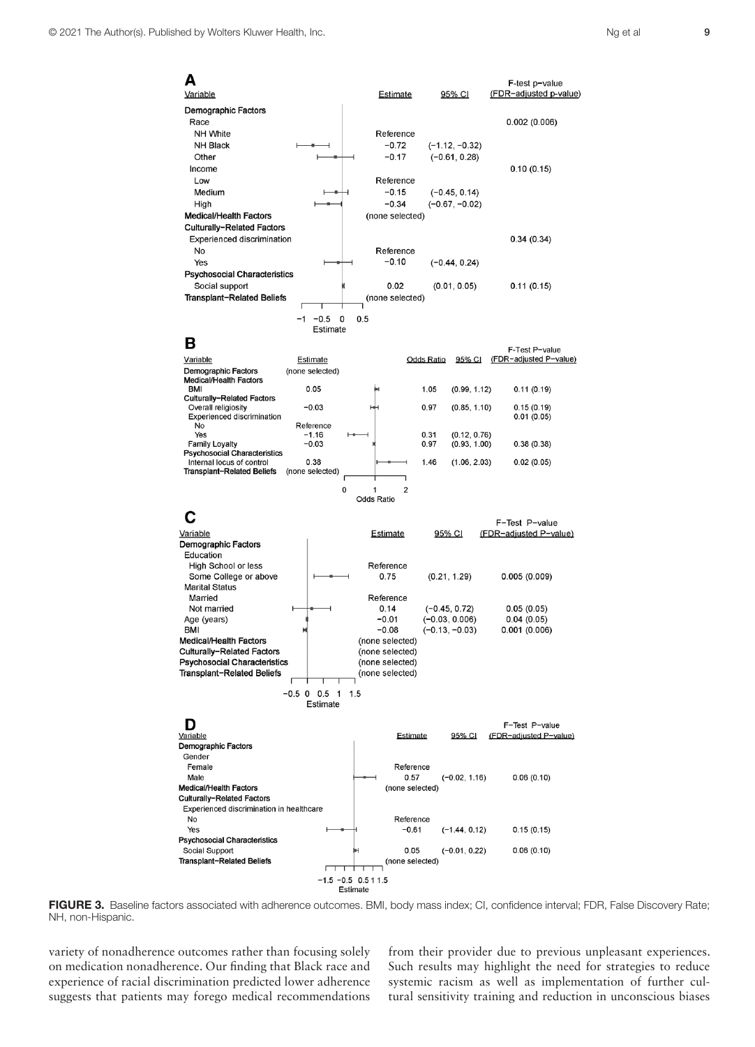No<br>No<br>Yes

Family Loyalty

| Variable                             |                            | <b>Estimate</b> | 95% CI               | F-test p-value<br>(FDR-adjusted p-value) |
|--------------------------------------|----------------------------|-----------------|----------------------|------------------------------------------|
| <b>Demographic Factors</b>           |                            |                 |                      |                                          |
| Race                                 |                            |                 |                      | 0.002(0.006)                             |
| NH White                             |                            | Reference       |                      |                                          |
| NH Black                             |                            | $-0.72$         | $(-1.12, -0.32)$     |                                          |
| Other                                |                            | $-0.17$         | $(-0.61, 0.28)$      |                                          |
| Income                               |                            |                 |                      | 0.10(0.15)                               |
| Low                                  |                            | Reference       |                      |                                          |
| Medium                               |                            | $-0.15$         | $(-0.45, 0.14)$      |                                          |
| High                                 |                            | $-0.34$         | $(-0.67, -0.02)$     |                                          |
| <b>Medical/Health Factors</b>        |                            | (none selected) |                      |                                          |
| Culturally-Related Factors           |                            |                 |                      |                                          |
| <b>Experienced discrimination</b>    |                            |                 |                      | 0.34(0.34)                               |
| <b>No</b>                            |                            | Reference       |                      |                                          |
| Yes                                  |                            | $-0.10$         |                      |                                          |
|                                      |                            |                 | $(-0.44, 0.24)$      |                                          |
| <b>Psychosocial Characteristics</b>  |                            |                 |                      |                                          |
| Social support                       |                            | 0.02            | (0.01, 0.05)         | 0.11(0.15)                               |
| Transplant-Related Beliefs           |                            | (none selected) |                      |                                          |
|                                      | $-0.5$<br>$-1$<br>$\Omega$ | 0.5             |                      |                                          |
|                                      | Estimate                   |                 |                      |                                          |
| в                                    |                            |                 |                      |                                          |
|                                      |                            |                 |                      | F-Test P-value                           |
| Variable                             | <b>Estimate</b>            |                 | 95% CI<br>Odds Ratio | (FDR-adjusted P-value)                   |
| <b>Demographic Factors</b>           | (none selected)            |                 |                      |                                          |
| <b>Medical/Health Factors</b><br>BMI | 0.05                       | ы               | 1.05                 |                                          |
| Culturally-Related Factors           |                            |                 | (0.99, 1.12)         | 0.11(0.19)                               |
| Overall religiosity                  | $-0.03$                    | ₩               | (0.85, 1.10)<br>0.97 | 0.15(0.19)                               |
| <b>Experienced discrimination</b>    |                            |                 |                      | 0.01(0.05)                               |

0.31<br>0.97

 $(0.12, 0.76)$ <br> $(0.93, 1.00)$ 

 $0.38(0.38)$ 

Reference  $-1.16$ <br> $-0.03$ 

| <b>FSYCHUSUGIAI UNAI ACCHISHUS</b><br>Internal locus of control<br>Transplant-Related Beliefs                                                  | 0.38<br>(none selected)<br>0     | 1                                                                                   | 1.46<br>$\overline{2}$               | (1.06, 2.03)                        | 0.02(0.05)                               |
|------------------------------------------------------------------------------------------------------------------------------------------------|----------------------------------|-------------------------------------------------------------------------------------|--------------------------------------|-------------------------------------|------------------------------------------|
|                                                                                                                                                |                                  | <b>Odds Ratio</b>                                                                   |                                      |                                     | F-Test P-value                           |
| Variable<br><b>Demographic Factors</b><br>Education                                                                                            |                                  | Estimate                                                                            |                                      | 95% CI                              | (FDR-adjusted P-value)                   |
| <b>High School or less</b><br>Some College or above<br><b>Marital Status</b>                                                                   |                                  | Reference<br>0.75                                                                   |                                      | (0.21, 1.29)                        | 0.005(0.009)                             |
| Married<br>Not married<br>Age (years)                                                                                                          |                                  | Reference<br>0.14<br>$-0.01$                                                        |                                      | $(-0.45, 0.72)$<br>$(-0.03, 0.006)$ | 0.05(0.05)<br>0.04(0.05)                 |
| <b>BMI</b><br><b>Medical/Health Factors</b><br>Culturally-Related Factors<br><b>Psychosocial Characteristics</b><br>Transplant-Related Beliefs |                                  | $-0.08$<br>(none selected)<br>(none selected)<br>(none selected)<br>(none selected) |                                      | $(-0.13, -0.03)$                    | 0.001(0.006)                             |
|                                                                                                                                                | $-0.5$ 0<br>0.5<br>1<br>Estimate | 1.5                                                                                 |                                      |                                     |                                          |
| D<br>Variable<br><b>Demographic Factors</b>                                                                                                    |                                  |                                                                                     | Estimate                             | 95% CI                              | F-Test P-value<br>(FDR-adjusted P-value) |
| Gender<br>Female<br>Male<br><b>Medical/Health Factors</b>                                                                                      |                                  |                                                                                     | Reference<br>0.57<br>(none selected) | $(-0.02, 1.16)$                     | 0.06(0.10)                               |
| Culturally-Related Factors<br>Experienced discrimination in healthcare<br>No                                                                   |                                  |                                                                                     | Reference                            |                                     |                                          |
| Yes<br><b>Psychosocial Characteristics</b>                                                                                                     |                                  |                                                                                     | $-0.61$                              | $(-1.44, 0.12)$                     | 0.15(0.15)                               |
| Social Support<br>Transplant-Related Beliefs                                                                                                   |                                  | н                                                                                   | 0.05<br>(none selected)              | $(-0.01, 0.22)$                     | 0.06(0.10)                               |
|                                                                                                                                                | $-1.5 -0.5 0.5 11.5$<br>Estimate |                                                                                     |                                      |                                     |                                          |

FIGURE 3. Baseline factors associated with adherence outcomes. BMI, body mass index; CI, confidence interval; FDR, False Discovery Rate; NH, non-Hispanic.

variety of nonadherence outcomes rather than focusing solely on medication nonadherence. Our finding that Black race and experience of racial discrimination predicted lower adherence suggests that patients may forego medical recommendations from their provider due to previous unpleasant experiences. Such results may highlight the need for strategies to reduce systemic racism as well as implementation of further cultural sensitivity training and reduction in unconscious biases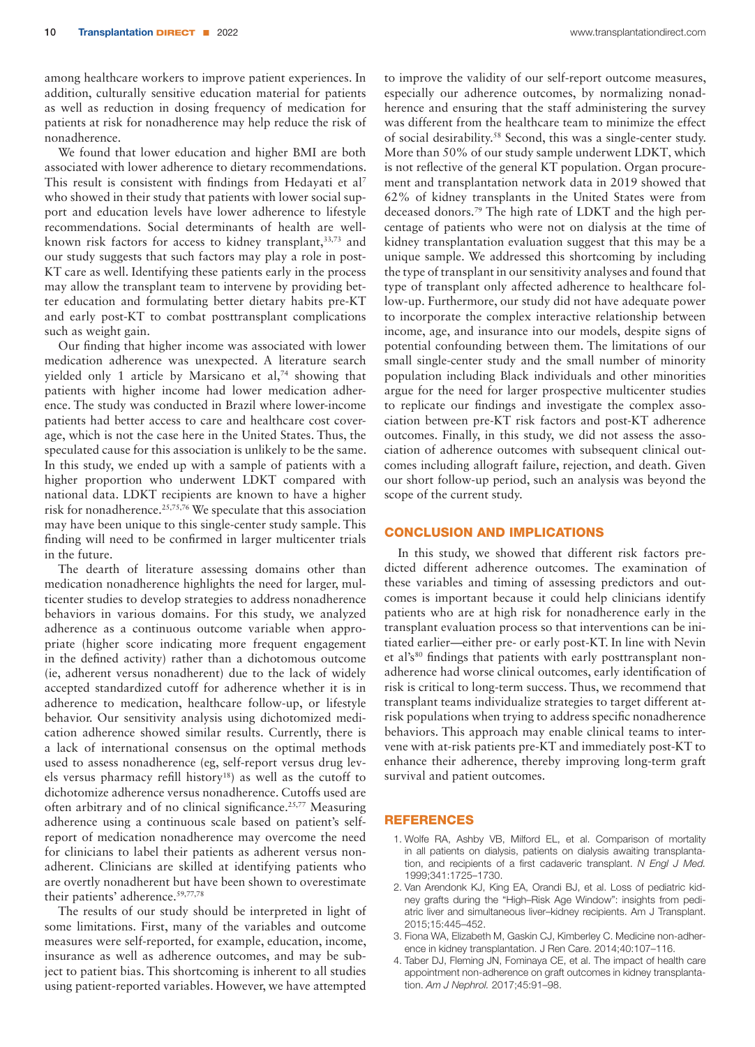among healthcare workers to improve patient experiences. In addition, culturally sensitive education material for patients as well as reduction in dosing frequency of medication for patients at risk for nonadherence may help reduce the risk of nonadherence.

We found that lower education and higher BMI are both associated with lower adherence to dietary recommendations. This result is consistent with findings from Hedayati et al<sup>7</sup> who showed in their study that patients with lower social support and education levels have lower adherence to lifestyle recommendations. Social determinants of health are wellknown risk factors for access to kidney transplant, 33,73 and our study suggests that such factors may play a role in post-KT care as well. Identifying these patients early in the process may allow the transplant team to intervene by providing better education and formulating better dietary habits pre-KT and early post-KT to combat posttransplant complications such as weight gain.

Our finding that higher income was associated with lower medication adherence was unexpected. A literature search yielded only 1 article by Marsicano et al,<sup>74</sup> showing that patients with higher income had lower medication adherence. The study was conducted in Brazil where lower-income patients had better access to care and healthcare cost coverage, which is not the case here in the United States. Thus, the speculated cause for this association is unlikely to be the same. In this study, we ended up with a sample of patients with a higher proportion who underwent LDKT compared with national data. LDKT recipients are known to have a higher risk for nonadherence.25,75,76 We speculate that this association may have been unique to this single-center study sample. This finding will need to be confirmed in larger multicenter trials in the future.

The dearth of literature assessing domains other than medication nonadherence highlights the need for larger, multicenter studies to develop strategies to address nonadherence behaviors in various domains. For this study, we analyzed adherence as a continuous outcome variable when appropriate (higher score indicating more frequent engagement in the defined activity) rather than a dichotomous outcome (ie, adherent versus nonadherent) due to the lack of widely accepted standardized cutoff for adherence whether it is in adherence to medication, healthcare follow-up, or lifestyle behavior. Our sensitivity analysis using dichotomized medication adherence showed similar results. Currently, there is a lack of international consensus on the optimal methods used to assess nonadherence (eg, self-report versus drug levels versus pharmacy refill history<sup>18</sup>) as well as the cutoff to dichotomize adherence versus nonadherence. Cutoffs used are often arbitrary and of no clinical significance.<sup>25,77</sup> Measuring adherence using a continuous scale based on patient's selfreport of medication nonadherence may overcome the need for clinicians to label their patients as adherent versus nonadherent. Clinicians are skilled at identifying patients who are overtly nonadherent but have been shown to overestimate their patients' adherence.59,77,78

The results of our study should be interpreted in light of some limitations. First, many of the variables and outcome measures were self-reported, for example, education, income, insurance as well as adherence outcomes, and may be subject to patient bias. This shortcoming is inherent to all studies using patient-reported variables. However, we have attempted to improve the validity of our self-report outcome measures, especially our adherence outcomes, by normalizing nonadherence and ensuring that the staff administering the survey was different from the healthcare team to minimize the effect of social desirability.58 Second, this was a single-center study. More than 50% of our study sample underwent LDKT, which is not reflective of the general KT population. Organ procurement and transplantation network data in 2019 showed that 62% of kidney transplants in the United States were from deceased donors.79 The high rate of LDKT and the high percentage of patients who were not on dialysis at the time of kidney transplantation evaluation suggest that this may be a unique sample. We addressed this shortcoming by including the type of transplant in our sensitivity analyses and found that type of transplant only affected adherence to healthcare follow-up. Furthermore, our study did not have adequate power to incorporate the complex interactive relationship between income, age, and insurance into our models, despite signs of potential confounding between them. The limitations of our small single-center study and the small number of minority population including Black individuals and other minorities argue for the need for larger prospective multicenter studies to replicate our findings and investigate the complex association between pre-KT risk factors and post-KT adherence outcomes. Finally, in this study, we did not assess the association of adherence outcomes with subsequent clinical outcomes including allograft failure, rejection, and death. Given our short follow-up period, such an analysis was beyond the scope of the current study.

# CONCLUSION AND IMPLICATIONS

In this study, we showed that different risk factors predicted different adherence outcomes. The examination of these variables and timing of assessing predictors and outcomes is important because it could help clinicians identify patients who are at high risk for nonadherence early in the transplant evaluation process so that interventions can be initiated earlier—either pre- or early post-KT. In line with Nevin et al's<sup>80</sup> findings that patients with early posttransplant nonadherence had worse clinical outcomes, early identification of risk is critical to long-term success. Thus, we recommend that transplant teams individualize strategies to target different atrisk populations when trying to address specific nonadherence behaviors. This approach may enable clinical teams to intervene with at-risk patients pre-KT and immediately post-KT to enhance their adherence, thereby improving long-term graft survival and patient outcomes.

#### REFERENCES

- 1. Wolfe RA, Ashby VB, Milford EL, et al. Comparison of mortality in all patients on dialysis, patients on dialysis awaiting transplantation, and recipients of a first cadaveric transplant. *N Engl J Med.* 1999;341:1725–1730.
- 2. Van Arendonk KJ, King EA, Orandi BJ, et al. Loss of pediatric kidney grafts during the "High–Risk Age Window": insights from pediatric liver and simultaneous liver–kidney recipients. Am J Transplant. 2015;15:445–452.
- 3. Fiona WA, Elizabeth M, Gaskin CJ, Kimberley C. Medicine non-adherence in kidney transplantation. J Ren Care. 2014;40:107–116.
- 4. Taber DJ, Fleming JN, Fominaya CE, et al. The impact of health care appointment non-adherence on graft outcomes in kidney transplantation. *Am J Nephrol.* 2017;45:91–98.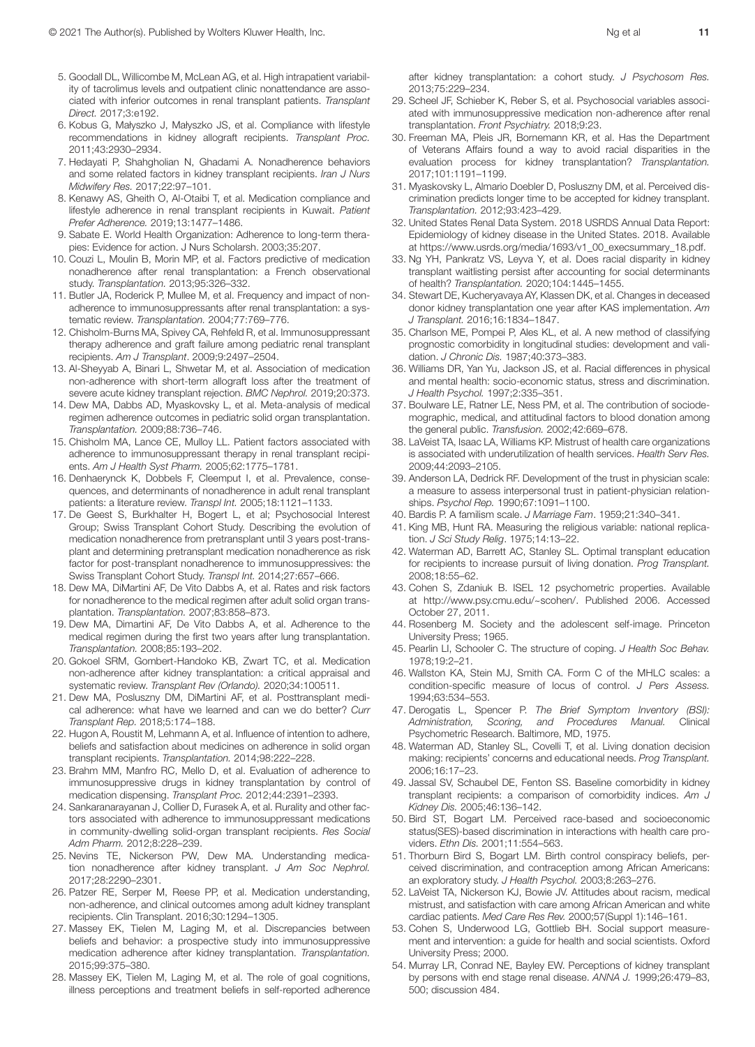- 5. Goodall DL, Willicombe M, McLean AG, et al. High intrapatient variability of tacrolimus levels and outpatient clinic nonattendance are associated with inferior outcomes in renal transplant patients. *Transplant Direct.* 2017;3:e192.
- 6. Kobus G, Małyszko J, Małyszko JS, et al. Compliance with lifestyle recommendations in kidney allograft recipients. *Transplant Proc.* 2011;43:2930–2934.
- 7. Hedayati P, Shahgholian N, Ghadami A. Nonadherence behaviors and some related factors in kidney transplant recipients. *Iran J Nurs Midwifery Res.* 2017;22:97–101.
- 8. Kenawy AS, Gheith O, Al-Otaibi T, et al. Medication compliance and lifestyle adherence in renal transplant recipients in Kuwait. *Patient Prefer Adherence.* 2019;13:1477–1486.
- 9. Sabate E. World Health Organization: Adherence to long-term therapies: Evidence for action. J Nurs Scholarsh. 2003;35:207.
- 10. Couzi L, Moulin B, Morin MP, et al. Factors predictive of medication nonadherence after renal transplantation: a French observational study. *Transplantation.* 2013;95:326–332.
- 11. Butler JA, Roderick P, Mullee M, et al. Frequency and impact of nonadherence to immunosuppressants after renal transplantation: a systematic review. *Transplantation.* 2004;77:769–776.
- 12. Chisholm-Burns MA, Spivey CA, Rehfeld R, et al. Immunosuppressant therapy adherence and graft failure among pediatric renal transplant recipients. *Am J Transplant*. 2009;9:2497–2504.
- 13. Al-Sheyyab A, Binari L, Shwetar M, et al. Association of medication non-adherence with short-term allograft loss after the treatment of severe acute kidney transplant rejection. *BMC Nephrol.* 2019;20:373.
- 14. Dew MA, Dabbs AD, Myaskovsky L, et al. Meta-analysis of medical regimen adherence outcomes in pediatric solid organ transplantation. *Transplantation.* 2009;88:736–746.
- 15. Chisholm MA, Lance CE, Mulloy LL. Patient factors associated with adherence to immunosuppressant therapy in renal transplant recipients. *Am J Health Syst Pharm.* 2005;62:1775–1781.
- 16. Denhaerynck K, Dobbels F, Cleemput I, et al. Prevalence, consequences, and determinants of nonadherence in adult renal transplant patients: a literature review. *Transpl Int.* 2005;18:1121–1133.
- 17. De Geest S, Burkhalter H, Bogert L, et al; Psychosocial Interest Group; Swiss Transplant Cohort Study. Describing the evolution of medication nonadherence from pretransplant until 3 years post-transplant and determining pretransplant medication nonadherence as risk factor for post-transplant nonadherence to immunosuppressives: the Swiss Transplant Cohort Study. *Transpl Int.* 2014;27:657–666.
- 18. Dew MA, DiMartini AF, De Vito Dabbs A, et al. Rates and risk factors for nonadherence to the medical regimen after adult solid organ transplantation. *Transplantation.* 2007;83:858–873.
- 19. Dew MA, Dimartini AF, De Vito Dabbs A, et al. Adherence to the medical regimen during the first two years after lung transplantation. *Transplantation.* 2008;85:193–202.
- 20. Gokoel SRM, Gombert-Handoko KB, Zwart TC, et al. Medication non-adherence after kidney transplantation: a critical appraisal and systematic review. *Transplant Rev (Orlando).* 2020;34:100511.
- 21. Dew MA, Posluszny DM, DiMartini AF, et al. Posttransplant medical adherence: what have we learned and can we do better? *Curr Transplant Rep.* 2018;5:174–188.
- 22. Hugon A, Roustit M, Lehmann A, et al. Influence of intention to adhere, beliefs and satisfaction about medicines on adherence in solid organ transplant recipients. *Transplantation.* 2014;98:222–228.
- 23. Brahm MM, Manfro RC, Mello D, et al. Evaluation of adherence to immunosuppressive drugs in kidney transplantation by control of medication dispensing. *Transplant Proc.* 2012;44:2391–2393.
- 24. Sankaranarayanan J, Collier D, Furasek A, et al. Rurality and other factors associated with adherence to immunosuppressant medications in community-dwelling solid-organ transplant recipients. *Res Social Adm Pharm.* 2012;8:228–239.
- 25. Nevins TE, Nickerson PW, Dew MA. Understanding medication nonadherence after kidney transplant. *J Am Soc Nephrol.* 2017;28:2290–2301.
- 26. Patzer RE, Serper M, Reese PP, et al. Medication understanding, non-adherence, and clinical outcomes among adult kidney transplant recipients. Clin Transplant. 2016;30:1294–1305.
- 27. Massey EK, Tielen M, Laging M, et al. Discrepancies between beliefs and behavior: a prospective study into immunosuppressive medication adherence after kidney transplantation. *Transplantation.* 2015;99:375–380.
- 28. Massey EK, Tielen M, Laging M, et al. The role of goal cognitions, illness perceptions and treatment beliefs in self-reported adherence

after kidney transplantation: a cohort study. *J Psychosom Res.* 2013;75:229–234.

- 29. Scheel JF, Schieber K, Reber S, et al. Psychosocial variables associated with immunosuppressive medication non-adherence after renal transplantation. *Front Psychiatry.* 2018;9:23.
- 30. Freeman MA, Pleis JR, Bornemann KR, et al. Has the Department of Veterans Affairs found a way to avoid racial disparities in the evaluation process for kidney transplantation? *Transplantation.* 2017;101:1191–1199.
- 31. Myaskovsky L, Almario Doebler D, Posluszny DM, et al. Perceived discrimination predicts longer time to be accepted for kidney transplant. *Transplantation.* 2012;93:423–429.
- 32. United States Renal Data System. 2018 USRDS Annual Data Report: Epidemiology of kidney disease in the United States. 2018. Available at [https://www.usrds.org/media/1693/v1\\_00\\_execsummary\\_18.pdf](https://www.usrds.org/media/1693/v1_00_execsummary_18.pdf).
- 33. Ng YH, Pankratz VS, Leyva Y, et al. Does racial disparity in kidney transplant waitlisting persist after accounting for social determinants of health? *Transplantation.* 2020;104:1445–1455.
- 34. Stewart DE, Kucheryavaya AY, Klassen DK, et al. Changes in deceased donor kidney transplantation one year after KAS implementation. *Am J Transplant.* 2016;16:1834–1847.
- 35. Charlson ME, Pompei P, Ales KL, et al. A new method of classifying prognostic comorbidity in longitudinal studies: development and validation. *J Chronic Dis.* 1987;40:373–383.
- 36. Williams DR, Yan Yu, Jackson JS, et al. Racial differences in physical and mental health: socio-economic status, stress and discrimination. *J Health Psychol.* 1997;2:335–351.
- 37. Boulware LE, Ratner LE, Ness PM, et al. The contribution of sociodemographic, medical, and attitudinal factors to blood donation among the general public. *Transfusion.* 2002;42:669–678.
- 38. LaVeist TA, Isaac LA, Williams KP. Mistrust of health care organizations is associated with underutilization of health services. *Health Serv Res.* 2009;44:2093–2105.
- 39. Anderson LA, Dedrick RF. Development of the trust in physician scale: a measure to assess interpersonal trust in patient-physician relationships. *Psychol Rep.* 1990;67:1091–1100.
- 40. Bardis P. A familism scale. *J Marriage Fam*. 1959;21:340–341.
- 41. King MB, Hunt RA. Measuring the religious variable: national replication. *J Sci Study Relig*. 1975;14:13–22.
- 42. Waterman AD, Barrett AC, Stanley SL. Optimal transplant education for recipients to increase pursuit of living donation. *Prog Transplant.* 2008;18:55–62.
- 43. Cohen S, Zdaniuk B. ISEL 12 psychometric properties. Available at [http://www.psy.cmu.edu/~scohen/.](http://www.psy.cmu.edu/~scohen/) Published 2006. Accessed October 27, 2011.
- 44. Rosenberg M. Society and the adolescent self-image. Princeton University Press; 1965.
- 45. Pearlin LI, Schooler C. The structure of coping. *J Health Soc Behav.* 1978;19:2–21.
- 46. Wallston KA, Stein MJ, Smith CA. Form C of the MHLC scales: a condition-specific measure of locus of control. *J Pers Assess.* 1994;63:534–553.
- 47. Derogatis L, Spencer P. *The Brief Symptom Inventory (BSI): Administration, Scoring, and Procedures Manual.* Clinical Psychometric Research. Baltimore, MD, 1975.
- 48. Waterman AD, Stanley SL, Covelli T, et al. Living donation decision making: recipients' concerns and educational needs. *Prog Transplant.* 2006;16:17–23.
- 49. Jassal SV, Schaubel DE, Fenton SS. Baseline comorbidity in kidney transplant recipients: a comparison of comorbidity indices. *Am J Kidney Dis.* 2005;46:136–142.
- 50. Bird ST, Bogart LM. Perceived race-based and socioeconomic status(SES)-based discrimination in interactions with health care providers. *Ethn Dis.* 2001;11:554–563.
- 51. Thorburn Bird S, Bogart LM. Birth control conspiracy beliefs, perceived discrimination, and contraception among African Americans: an exploratory study. *J Health Psychol.* 2003;8:263–276.
- 52. LaVeist TA, Nickerson KJ, Bowie JV. Attitudes about racism, medical mistrust, and satisfaction with care among African American and white cardiac patients. *Med Care Res Rev.* 2000;57(Suppl 1):146–161.
- 53. Cohen S, Underwood LG, Gottlieb BH. Social support measurement and intervention: a guide for health and social scientists. Oxford University Press; 2000.
- 54. Murray LR, Conrad NE, Bayley EW. Perceptions of kidney transplant by persons with end stage renal disease. *ANNA J.* 1999;26:479–83, 500; discussion 484.